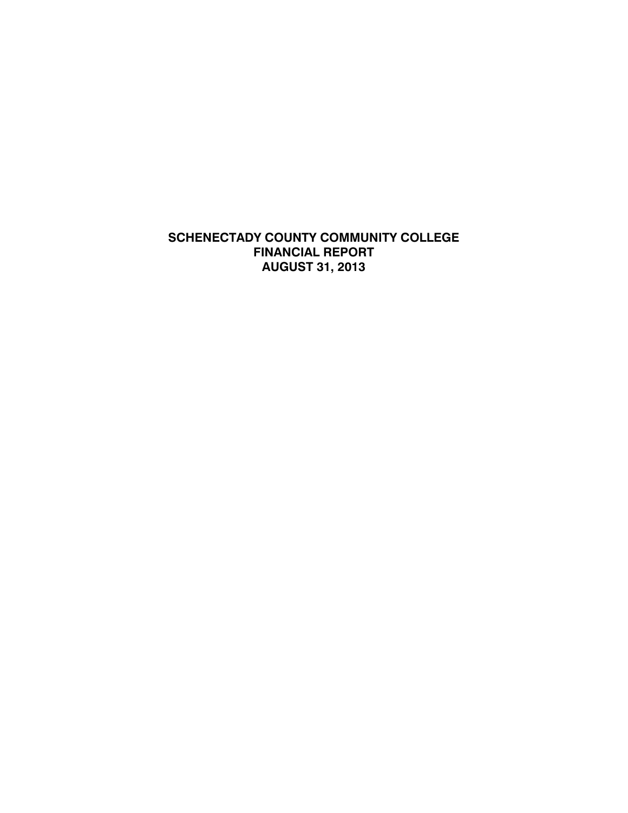# **SCHENECTADY COUNTY COMMUNITY COLLEGE FINANCIAL REPORT AUGUST 31, 2013**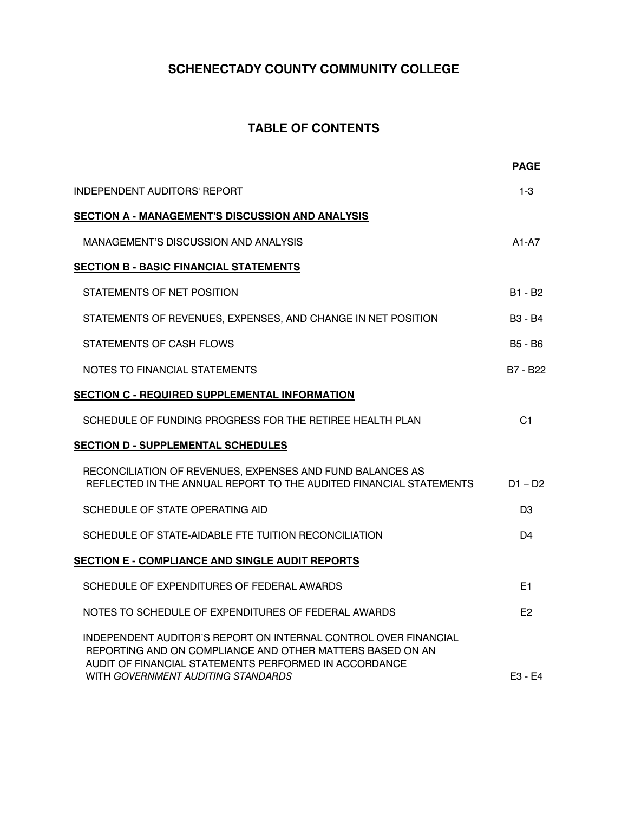# **SCHENECTADY COUNTY COMMUNITY COLLEGE**

# **TABLE OF CONTENTS**

|                                                                                                                                                                                       | <b>PAGE</b>          |
|---------------------------------------------------------------------------------------------------------------------------------------------------------------------------------------|----------------------|
| INDEPENDENT AUDITORS' REPORT                                                                                                                                                          | $1-3$                |
| <b>SECTION A - MANAGEMENT'S DISCUSSION AND ANALYSIS</b>                                                                                                                               |                      |
| <b>MANAGEMENT'S DISCUSSION AND ANALYSIS</b>                                                                                                                                           | A1-A7                |
| <b>SECTION B - BASIC FINANCIAL STATEMENTS</b>                                                                                                                                         |                      |
| STATEMENTS OF NET POSITION                                                                                                                                                            | B1 - B2              |
| STATEMENTS OF REVENUES, EXPENSES, AND CHANGE IN NET POSITION                                                                                                                          | B3 - B4              |
| STATEMENTS OF CASH FLOWS                                                                                                                                                              | B5 - B6              |
| NOTES TO FINANCIAL STATEMENTS                                                                                                                                                         | B7 - B <sub>22</sub> |
| <b>SECTION C - REQUIRED SUPPLEMENTAL INFORMATION</b>                                                                                                                                  |                      |
| SCHEDULE OF FUNDING PROGRESS FOR THE RETIREE HEALTH PLAN                                                                                                                              | C <sub>1</sub>       |
| <b>SECTION D - SUPPLEMENTAL SCHEDULES</b>                                                                                                                                             |                      |
| RECONCILIATION OF REVENUES, EXPENSES AND FUND BALANCES AS<br>REFLECTED IN THE ANNUAL REPORT TO THE AUDITED FINANCIAL STATEMENTS                                                       | $D1 - D2$            |
| SCHEDULE OF STATE OPERATING AID                                                                                                                                                       | D3                   |
| SCHEDULE OF STATE-AIDABLE FTE TUITION RECONCILIATION                                                                                                                                  | D4                   |
| <b>SECTION E - COMPLIANCE AND SINGLE AUDIT REPORTS</b>                                                                                                                                |                      |
| SCHEDULE OF EXPENDITURES OF FEDERAL AWARDS                                                                                                                                            | E1                   |
| NOTES TO SCHEDULE OF EXPENDITURES OF FEDERAL AWARDS                                                                                                                                   | E <sub>2</sub>       |
| INDEPENDENT AUDITOR'S REPORT ON INTERNAL CONTROL OVER FINANCIAL<br>REPORTING AND ON COMPLIANCE AND OTHER MATTERS BASED ON AN<br>AUDIT OF FINANCIAL STATEMENTS PERFORMED IN ACCORDANCE |                      |
| WITH GOVERNMENT AUDITING STANDARDS                                                                                                                                                    | E3 - E4              |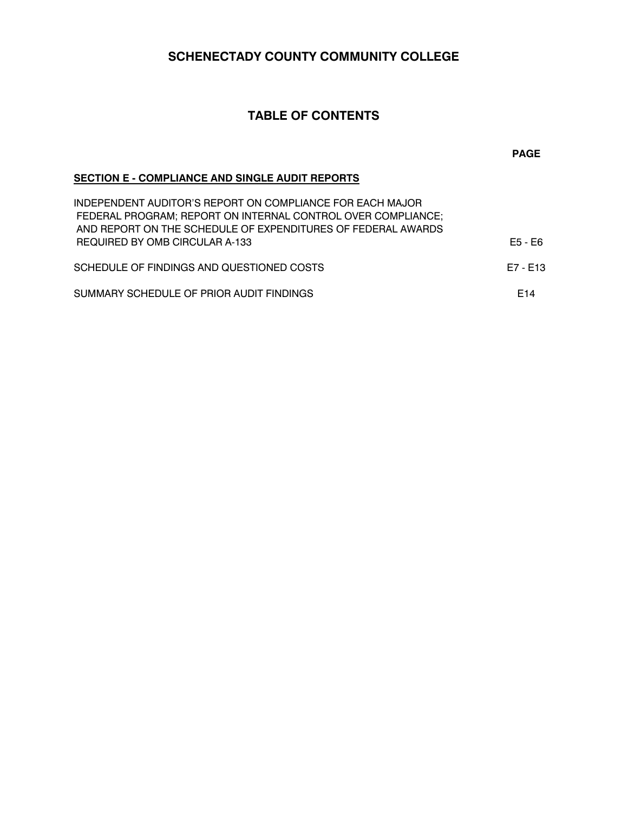# **SCHENECTADY COUNTY COMMUNITY COLLEGE**

# **TABLE OF CONTENTS**

|                                                                                                                                                                                                                             | <b>PAGE</b> |
|-----------------------------------------------------------------------------------------------------------------------------------------------------------------------------------------------------------------------------|-------------|
| <b>SECTION E - COMPLIANCE AND SINGLE AUDIT REPORTS</b>                                                                                                                                                                      |             |
| INDEPENDENT AUDITOR'S REPORT ON COMPLIANCE FOR EACH MAJOR<br>FEDERAL PROGRAM; REPORT ON INTERNAL CONTROL OVER COMPLIANCE;<br>AND REPORT ON THE SCHEDULE OF EXPENDITURES OF FEDERAL AWARDS<br>REQUIRED BY OMB CIRCULAR A-133 | F5 - F6     |
| SCHEDULE OF FINDINGS AND QUESTIONED COSTS                                                                                                                                                                                   | $E7 - E13$  |
| SUMMARY SCHEDULE OF PRIOR AUDIT FINDINGS                                                                                                                                                                                    | E14         |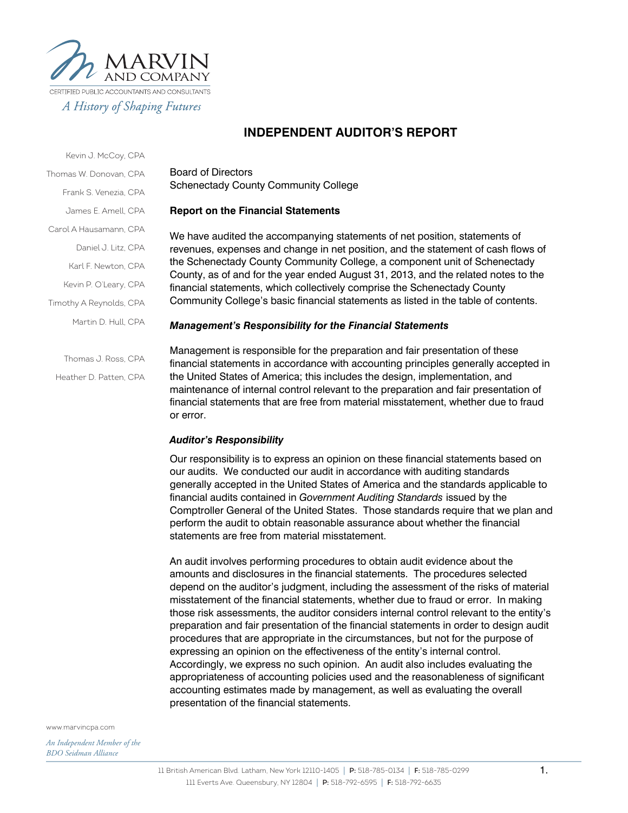

# **INDEPENDENT AUDITOR'S REPORT**

Kevin J. McCoy, CPA Thomas W. Donovan, CPA Frank S. Venezia, CPA James E. Amell, CPA Carol A Hausamann, CPA Daniel J. Litz, CPA Karl F. Newton, CPA Kevin P. O'Leary, CPA Timothy A Reynolds, CPA

Martin D. Hull, CPA

Thomas J. Ross, CPA Heather D. Patten, CPA Board of Directors Schenectady County Community College

#### **Report on the Financial Statements**

We have audited the accompanying statements of net position, statements of revenues, expenses and change in net position, and the statement of cash flows of the Schenectady County Community College, a component unit of Schenectady County, as of and for the year ended August 31, 2013, and the related notes to the financial statements, which collectively comprise the Schenectady County Community College's basic financial statements as listed in the table of contents.

#### *Management's Responsibility for the Financial Statements*

Management is responsible for the preparation and fair presentation of these financial statements in accordance with accounting principles generally accepted in the United States of America; this includes the design, implementation, and maintenance of internal control relevant to the preparation and fair presentation of financial statements that are free from material misstatement, whether due to fraud or error.

## *Auditor's Responsibility*

Our responsibility is to express an opinion on these financial statements based on our audits. We conducted our audit in accordance with auditing standards generally accepted in the United States of America and the standards applicable to financial audits contained in *Government Auditing Standards* issued by the Comptroller General of the United States. Those standards require that we plan and perform the audit to obtain reasonable assurance about whether the financial statements are free from material misstatement.

An audit involves performing procedures to obtain audit evidence about the amounts and disclosures in the financial statements. The procedures selected depend on the auditor's judgment, including the assessment of the risks of material misstatement of the financial statements, whether due to fraud or error. In making those risk assessments, the auditor considers internal control relevant to the entity's preparation and fair presentation of the financial statements in order to design audit procedures that are appropriate in the circumstances, but not for the purpose of expressing an opinion on the effectiveness of the entity's internal control. Accordingly, we express no such opinion. An audit also includes evaluating the appropriateness of accounting policies used and the reasonableness of significant accounting estimates made by management, as well as evaluating the overall presentation of the financial statements.

www.marvincpa.com

*An Independent Member of the BDO Seidman Alliance*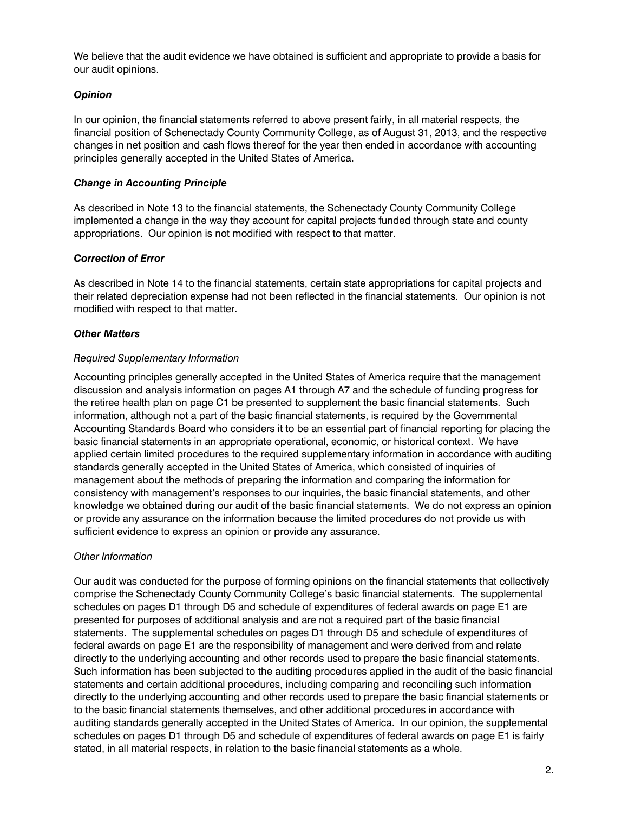We believe that the audit evidence we have obtained is sufficient and appropriate to provide a basis for our audit opinions.

## *Opinion*

In our opinion, the financial statements referred to above present fairly, in all material respects, the financial position of Schenectady County Community College, as of August 31, 2013, and the respective changes in net position and cash flows thereof for the year then ended in accordance with accounting principles generally accepted in the United States of America.

### *Change in Accounting Principle*

As described in Note 13 to the financial statements, the Schenectady County Community College implemented a change in the way they account for capital projects funded through state and county appropriations. Our opinion is not modified with respect to that matter.

### *Correction of Error*

As described in Note 14 to the financial statements, certain state appropriations for capital projects and their related depreciation expense had not been reflected in the financial statements. Our opinion is not modified with respect to that matter.

### *Other Matters*

### *Required Supplementary Information*

Accounting principles generally accepted in the United States of America require that the management discussion and analysis information on pages A1 through A7 and the schedule of funding progress for the retiree health plan on page C1 be presented to supplement the basic financial statements. Such information, although not a part of the basic financial statements, is required by the Governmental Accounting Standards Board who considers it to be an essential part of financial reporting for placing the basic financial statements in an appropriate operational, economic, or historical context. We have applied certain limited procedures to the required supplementary information in accordance with auditing standards generally accepted in the United States of America, which consisted of inquiries of management about the methods of preparing the information and comparing the information for consistency with management's responses to our inquiries, the basic financial statements, and other knowledge we obtained during our audit of the basic financial statements. We do not express an opinion or provide any assurance on the information because the limited procedures do not provide us with sufficient evidence to express an opinion or provide any assurance.

#### *Other Information*

Our audit was conducted for the purpose of forming opinions on the financial statements that collectively comprise the Schenectady County Community College's basic financial statements. The supplemental schedules on pages D1 through D5 and schedule of expenditures of federal awards on page E1 are presented for purposes of additional analysis and are not a required part of the basic financial statements. The supplemental schedules on pages D1 through D5 and schedule of expenditures of federal awards on page E1 are the responsibility of management and were derived from and relate directly to the underlying accounting and other records used to prepare the basic financial statements. Such information has been subjected to the auditing procedures applied in the audit of the basic financial statements and certain additional procedures, including comparing and reconciling such information directly to the underlying accounting and other records used to prepare the basic financial statements or to the basic financial statements themselves, and other additional procedures in accordance with auditing standards generally accepted in the United States of America. In our opinion, the supplemental schedules on pages D1 through D5 and schedule of expenditures of federal awards on page E1 is fairly stated, in all material respects, in relation to the basic financial statements as a whole.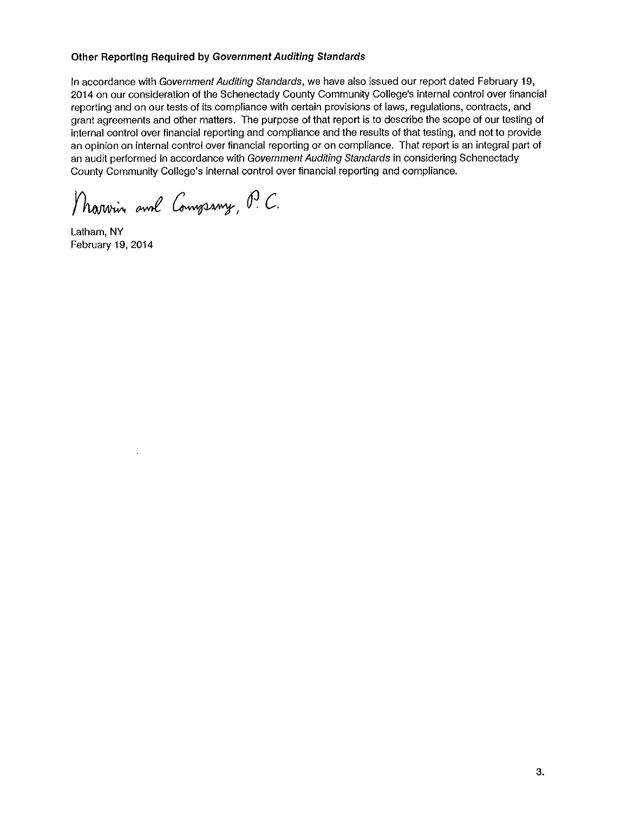## Other Reporting Required by Government Auditing Standards

In accordance with Government Auditing Standards, we have also issued our report dated February 19, 2014 on our consideration of the Schenectady County Community College's internal control over financial reporting and on our tests of its compliance with certain provisions of laws, regulations, contracts, and grant agreements and other matters. The purpose of that report is to describe the scope of our testing of internal control over financial reporting and compliance and the results of that testing, and not to provide an opinion on internal control over financial reporting or on compliance. That report is an integral part of an audit performed in accordance with Government Auditing Standards in considering Schenectady County Community College's internal control over financial reporting and compliance.

Marwin and Compsany, P.C.

Latham, NY February 19, 2014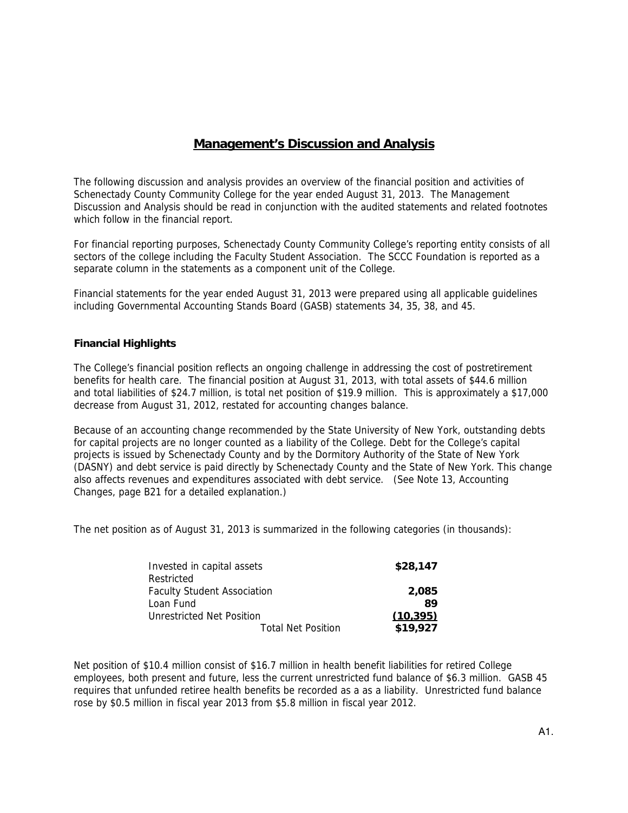# **Management's Discussion and Analysis**

The following discussion and analysis provides an overview of the financial position and activities of Schenectady County Community College for the year ended August 31, 2013. The Management Discussion and Analysis should be read in conjunction with the audited statements and related footnotes which follow in the financial report.

For financial reporting purposes, Schenectady County Community College's reporting entity consists of all sectors of the college including the Faculty Student Association. The SCCC Foundation is reported as a separate column in the statements as a component unit of the College.

Financial statements for the year ended August 31, 2013 were prepared using all applicable guidelines including Governmental Accounting Stands Board (GASB) statements 34, 35, 38, and 45.

## **Financial Highlights**

The College's financial position reflects an ongoing challenge in addressing the cost of postretirement benefits for health care. The financial position at August 31, 2013, with total assets of \$44.6 million and total liabilities of \$24.7 million, is total net position of \$19.9 million. This is approximately a \$17,000 decrease from August 31, 2012, restated for accounting changes balance.

Because of an accounting change recommended by the State University of New York, outstanding debts for capital projects are no longer counted as a liability of the College. Debt for the College's capital projects is issued by Schenectady County and by the Dormitory Authority of the State of New York (DASNY) and debt service is paid directly by Schenectady County and the State of New York. This change also affects revenues and expenditures associated with debt service. (See Note 13, Accounting Changes, page B21 for a detailed explanation.)

The net position as of August 31, 2013 is summarized in the following categories (in thousands):

| Invested in capital assets         | \$28,147  |
|------------------------------------|-----------|
| Restricted                         |           |
| <b>Faculty Student Association</b> | 2,085     |
| Loan Fund                          | 89        |
| <b>Unrestricted Net Position</b>   | (10, 395) |
| <b>Total Net Position</b>          | \$19,927  |

Net position of \$10.4 million consist of \$16.7 million in health benefit liabilities for retired College employees, both present and future, less the current unrestricted fund balance of \$6.3 million. GASB 45 requires that unfunded retiree health benefits be recorded as a as a liability. Unrestricted fund balance rose by \$0.5 million in fiscal year 2013 from \$5.8 million in fiscal year 2012.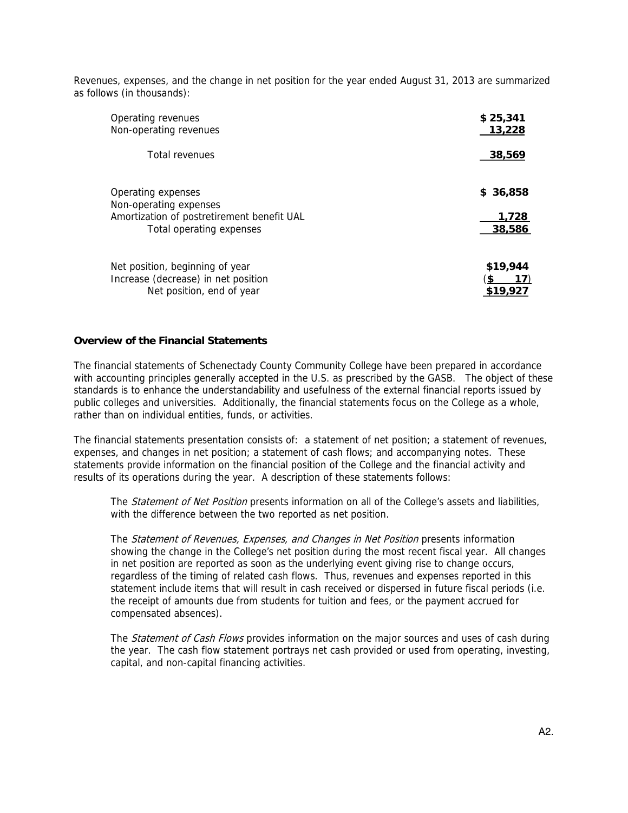Revenues, expenses, and the change in net position for the year ended August 31, 2013 are summarized as follows (in thousands):

| Operating revenues<br>Non-operating revenues                                                                           | \$25,341<br><u>13,228</u>   |
|------------------------------------------------------------------------------------------------------------------------|-----------------------------|
| Total revenues                                                                                                         | <u>38.569</u>               |
| Operating expenses<br>Non-operating expenses<br>Amortization of postretirement benefit UAL<br>Total operating expenses | \$36,858<br>1,728<br>38.586 |
| Net position, beginning of year<br>Increase (decrease) in net position<br>Net position, end of year                    | \$19,944<br>(17)            |

#### **Overview of the Financial Statements**

The financial statements of Schenectady County Community College have been prepared in accordance with accounting principles generally accepted in the U.S. as prescribed by the GASB. The object of these standards is to enhance the understandability and usefulness of the external financial reports issued by public colleges and universities. Additionally, the financial statements focus on the College as a whole, rather than on individual entities, funds, or activities.

The financial statements presentation consists of: a statement of net position; a statement of revenues, expenses, and changes in net position; a statement of cash flows; and accompanying notes. These statements provide information on the financial position of the College and the financial activity and results of its operations during the year. A description of these statements follows:

The Statement of Net Position presents information on all of the College's assets and liabilities, with the difference between the two reported as net position.

The Statement of Revenues, Expenses, and Changes in Net Position presents information showing the change in the College's net position during the most recent fiscal year. All changes in net position are reported as soon as the underlying event giving rise to change occurs, regardless of the timing of related cash flows. Thus, revenues and expenses reported in this statement include items that will result in cash received or dispersed in future fiscal periods (i.e. the receipt of amounts due from students for tuition and fees, or the payment accrued for compensated absences).

The Statement of Cash Flows provides information on the major sources and uses of cash during the year. The cash flow statement portrays net cash provided or used from operating, investing, capital, and non-capital financing activities.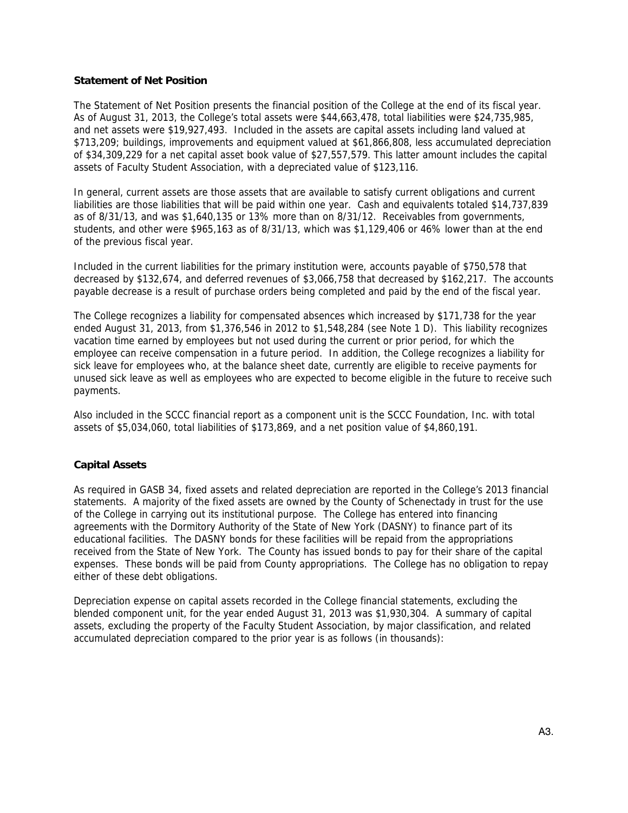### **Statement of Net Position**

The Statement of Net Position presents the financial position of the College at the end of its fiscal year. As of August 31, 2013, the College's total assets were \$44,663,478, total liabilities were \$24,735,985, and net assets were \$19,927,493. Included in the assets are capital assets including land valued at \$713,209; buildings, improvements and equipment valued at \$61,866,808, less accumulated depreciation of \$34,309,229 for a net capital asset book value of \$27,557,579. This latter amount includes the capital assets of Faculty Student Association, with a depreciated value of \$123,116.

In general, current assets are those assets that are available to satisfy current obligations and current liabilities are those liabilities that will be paid within one year. Cash and equivalents totaled \$14,737,839 as of 8/31/13, and was \$1,640,135 or 13% more than on 8/31/12. Receivables from governments, students, and other were \$965,163 as of 8/31/13, which was \$1,129,406 or 46% lower than at the end of the previous fiscal year.

Included in the current liabilities for the primary institution were, accounts payable of \$750,578 that decreased by \$132,674, and deferred revenues of \$3,066,758 that decreased by \$162,217. The accounts payable decrease is a result of purchase orders being completed and paid by the end of the fiscal year.

The College recognizes a liability for compensated absences which increased by \$171,738 for the year ended August 31, 2013, from \$1,376,546 in 2012 to \$1,548,284 (see Note 1 D). This liability recognizes vacation time earned by employees but not used during the current or prior period, for which the employee can receive compensation in a future period. In addition, the College recognizes a liability for sick leave for employees who, at the balance sheet date, currently are eligible to receive payments for unused sick leave as well as employees who are expected to become eligible in the future to receive such payments.

Also included in the SCCC financial report as a component unit is the SCCC Foundation, Inc. with total assets of \$5,034,060, total liabilities of \$173,869, and a net position value of \$4,860,191.

## **Capital Assets**

As required in GASB 34, fixed assets and related depreciation are reported in the College's 2013 financial statements. A majority of the fixed assets are owned by the County of Schenectady in trust for the use of the College in carrying out its institutional purpose. The College has entered into financing agreements with the Dormitory Authority of the State of New York (DASNY) to finance part of its educational facilities. The DASNY bonds for these facilities will be repaid from the appropriations received from the State of New York. The County has issued bonds to pay for their share of the capital expenses. These bonds will be paid from County appropriations. The College has no obligation to repay either of these debt obligations.

Depreciation expense on capital assets recorded in the College financial statements, excluding the blended component unit, for the year ended August 31, 2013 was \$1,930,304. A summary of capital assets, excluding the property of the Faculty Student Association, by major classification, and related accumulated depreciation compared to the prior year is as follows (in thousands):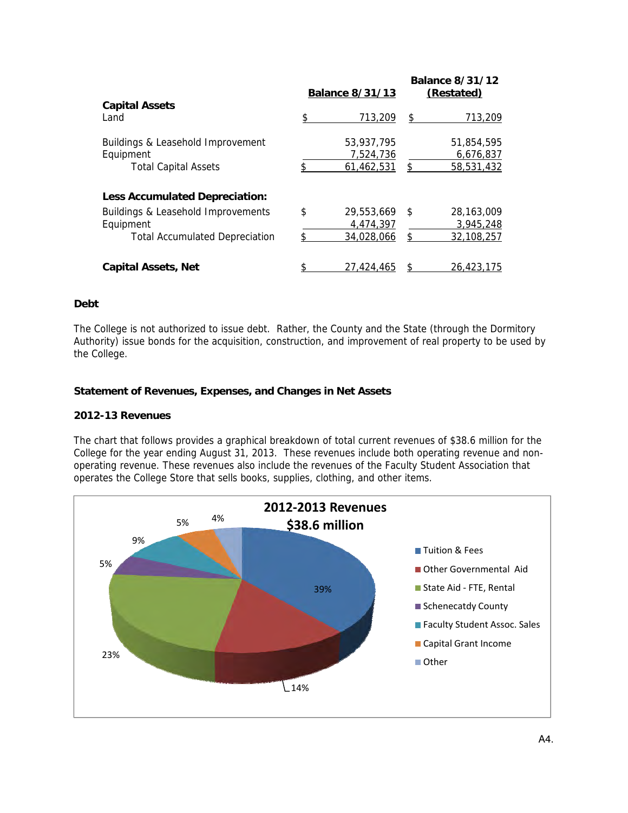|                                                 | <b>Balance 8/31/13</b>        |      | <b>Balance 8/31/12</b><br>(Restated) |
|-------------------------------------------------|-------------------------------|------|--------------------------------------|
| <b>Capital Assets</b><br>Land                   | \$<br>713,209                 | \$   | 713,209                              |
| Buildings & Leasehold Improvement<br>Equipment  | 53,937,795<br>7,524,736       |      | 51.854.595<br>6,676,837              |
| <b>Total Capital Assets</b>                     | 61,462,531                    | \$   | 58,531,432                           |
| <b>Less Accumulated Depreciation:</b>           |                               |      |                                      |
| Buildings & Leasehold Improvements<br>Equipment | \$<br>29,553,669<br>4,474,397 | - \$ | 28,163,009<br>3,945,248              |
| <b>Total Accumulated Depreciation</b>           | 34,028,066                    | \$   | 32,108,257                           |
| <b>Capital Assets, Net</b>                      | 27,424,465                    |      | 26,423,175                           |

## **Debt**

The College is not authorized to issue debt. Rather, the County and the State (through the Dormitory Authority) issue bonds for the acquisition, construction, and improvement of real property to be used by the College.

### **Statement of Revenues, Expenses, and Changes in Net Assets**

#### **2012-13 Revenues**

The chart that follows provides a graphical breakdown of total current revenues of \$38.6 million for the College for the year ending August 31, 2013. These revenues include both operating revenue and nonoperating revenue. These revenues also include the revenues of the Faculty Student Association that operates the College Store that sells books, supplies, clothing, and other items.

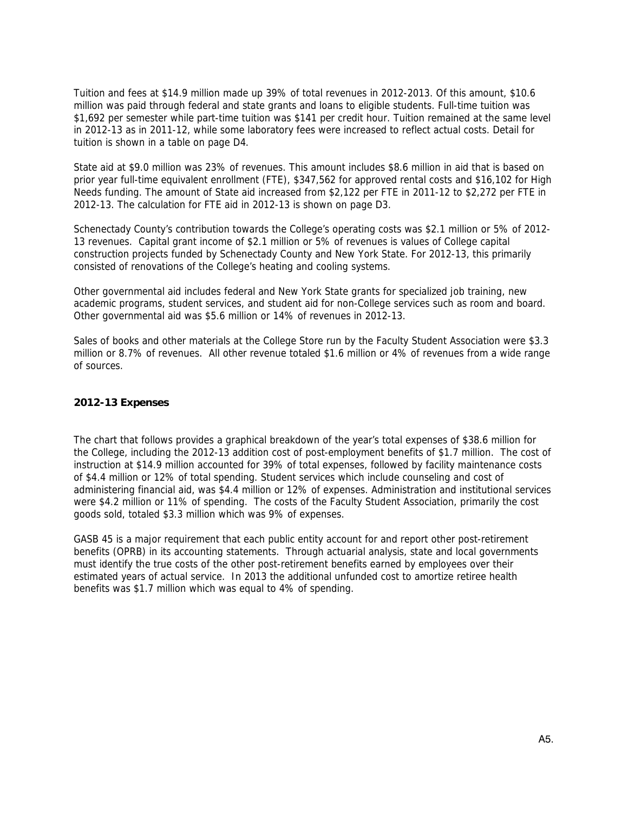Tuition and fees at \$14.9 million made up 39% of total revenues in 2012-2013. Of this amount, \$10.6 million was paid through federal and state grants and loans to eligible students. Full-time tuition was \$1,692 per semester while part-time tuition was \$141 per credit hour. Tuition remained at the same level in 2012-13 as in 2011-12, while some laboratory fees were increased to reflect actual costs. Detail for tuition is shown in a table on page D4.

State aid at \$9.0 million was 23% of revenues. This amount includes \$8.6 million in aid that is based on prior year full-time equivalent enrollment (FTE), \$347,562 for approved rental costs and \$16,102 for High Needs funding. The amount of State aid increased from \$2,122 per FTE in 2011-12 to \$2,272 per FTE in 2012-13. The calculation for FTE aid in 2012-13 is shown on page D3.

Schenectady County's contribution towards the College's operating costs was \$2.1 million or 5% of 2012- 13 revenues. Capital grant income of \$2.1 million or 5% of revenues is values of College capital construction projects funded by Schenectady County and New York State. For 2012-13, this primarily consisted of renovations of the College's heating and cooling systems.

Other governmental aid includes federal and New York State grants for specialized job training, new academic programs, student services, and student aid for non-College services such as room and board. Other governmental aid was \$5.6 million or 14% of revenues in 2012-13.

Sales of books and other materials at the College Store run by the Faculty Student Association were \$3.3 million or 8.7% of revenues. All other revenue totaled \$1.6 million or 4% of revenues from a wide range of sources.

### **2012-13 Expenses**

The chart that follows provides a graphical breakdown of the year's total expenses of \$38.6 million for the College, including the 2012-13 addition cost of post-employment benefits of \$1.7 million. The cost of instruction at \$14.9 million accounted for 39% of total expenses, followed by facility maintenance costs of \$4.4 million or 12% of total spending. Student services which include counseling and cost of administering financial aid, was \$4.4 million or 12% of expenses. Administration and institutional services were \$4.2 million or 11% of spending. The costs of the Faculty Student Association, primarily the cost goods sold, totaled \$3.3 million which was 9% of expenses.

GASB 45 is a major requirement that each public entity account for and report other post-retirement benefits (OPRB) in its accounting statements. Through actuarial analysis, state and local governments must identify the true costs of the other post-retirement benefits earned by employees over their estimated years of actual service. In 2013 the additional unfunded cost to amortize retiree health benefits was \$1.7 million which was equal to 4% of spending.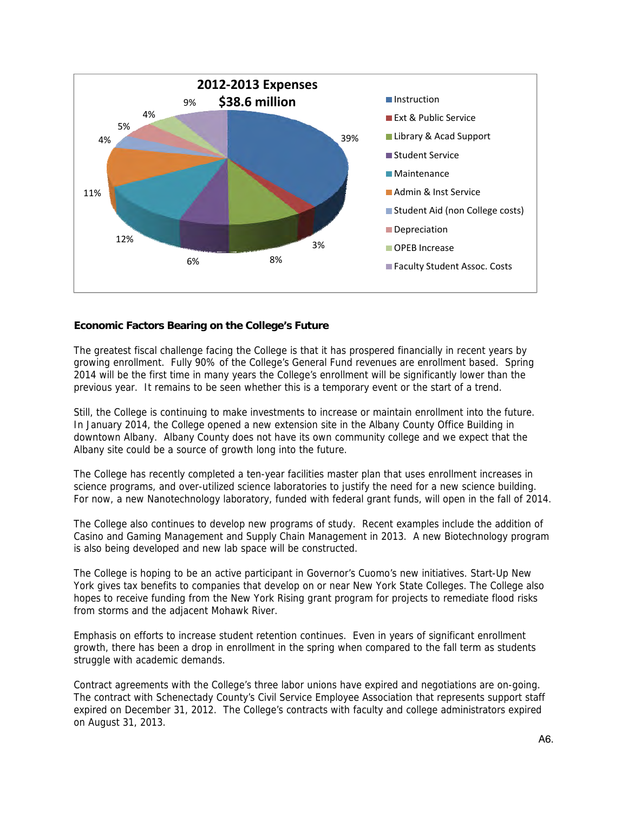

## **Economic Factors Bearing on the College's Future**

The greatest fiscal challenge facing the College is that it has prospered financially in recent years by growing enrollment. Fully 90% of the College's General Fund revenues are enrollment based. Spring 2014 will be the first time in many years the College's enrollment will be significantly lower than the previous year. It remains to be seen whether this is a temporary event or the start of a trend.

Still, the College is continuing to make investments to increase or maintain enrollment into the future. In January 2014, the College opened a new extension site in the Albany County Office Building in downtown Albany. Albany County does not have its own community college and we expect that the Albany site could be a source of growth long into the future.

The College has recently completed a ten-year facilities master plan that uses enrollment increases in science programs, and over-utilized science laboratories to justify the need for a new science building. For now, a new Nanotechnology laboratory, funded with federal grant funds, will open in the fall of 2014.

The College also continues to develop new programs of study. Recent examples include the addition of Casino and Gaming Management and Supply Chain Management in 2013. A new Biotechnology program is also being developed and new lab space will be constructed.

The College is hoping to be an active participant in Governor's Cuomo's new initiatives. Start-Up New York gives tax benefits to companies that develop on or near New York State Colleges. The College also hopes to receive funding from the New York Rising grant program for projects to remediate flood risks from storms and the adjacent Mohawk River.

Emphasis on efforts to increase student retention continues. Even in years of significant enrollment growth, there has been a drop in enrollment in the spring when compared to the fall term as students struggle with academic demands.

Contract agreements with the College's three labor unions have expired and negotiations are on-going. The contract with Schenectady County's Civil Service Employee Association that represents support staff expired on December 31, 2012. The College's contracts with faculty and college administrators expired on August 31, 2013.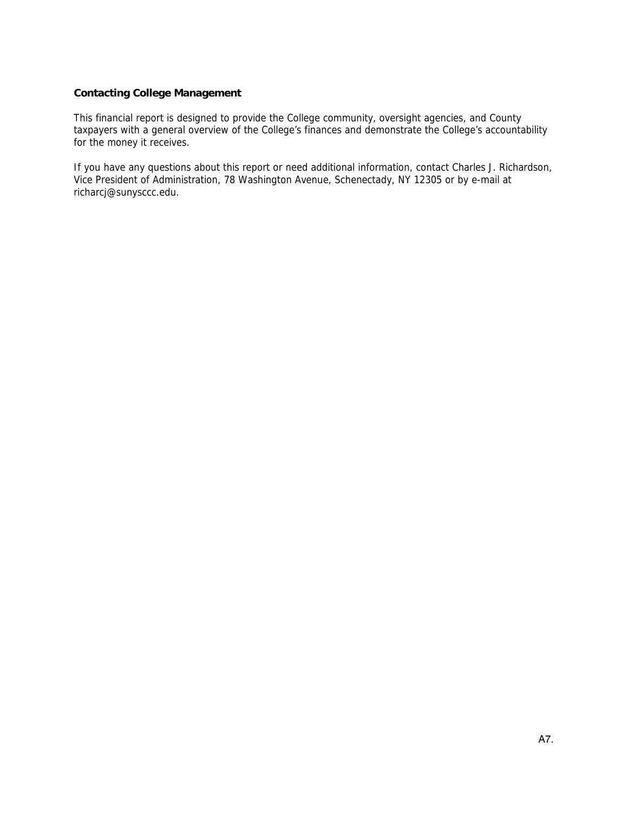### **Contacting College Management**

This financial report is designed to provide the College community, oversight agencies, and County taxpayers with a general overview of the College's finances and demonstrate the College's accountability for the money it receives.

If you have any questions about this report or need additional information, contact Charles J. Richardson, Vice President of Administration, 78 Washington Avenue, Schenectady, NY 12305 or by e-mail at richarcj@sunysccc.edu.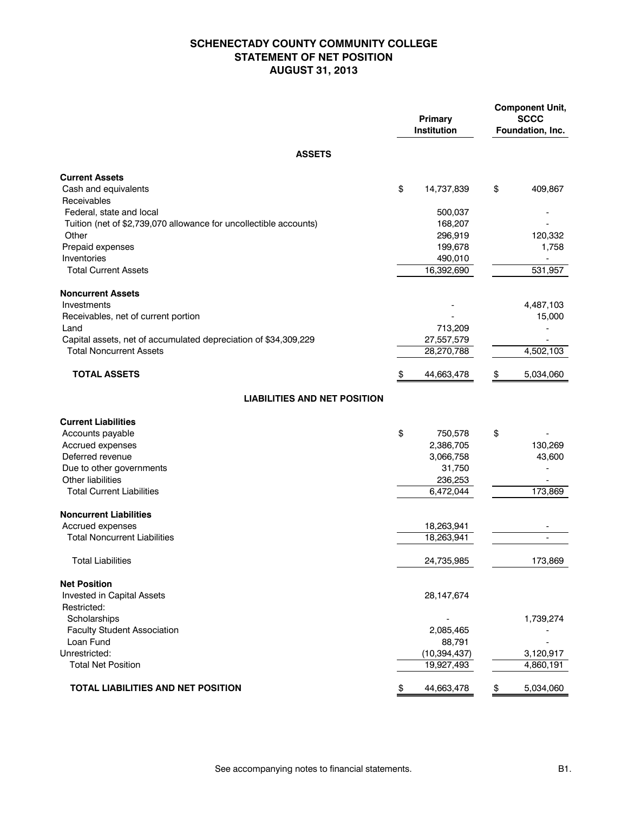## **SCHENECTADY COUNTY COMMUNITY COLLEGE STATEMENT OF NET POSITION AUGUST 31, 2013**

|                                                                   | <b>Primary</b><br>Institution |                | <b>Component Unit,</b><br><b>SCCC</b><br>Foundation, Inc. |           |  |
|-------------------------------------------------------------------|-------------------------------|----------------|-----------------------------------------------------------|-----------|--|
| <b>ASSETS</b>                                                     |                               |                |                                                           |           |  |
| <b>Current Assets</b>                                             |                               |                |                                                           |           |  |
| Cash and equivalents                                              | \$                            | 14,737,839     | \$                                                        | 409,867   |  |
| Receivables                                                       |                               |                |                                                           |           |  |
| Federal, state and local                                          |                               | 500,037        |                                                           |           |  |
| Tuition (net of \$2,739,070 allowance for uncollectible accounts) |                               | 168,207        |                                                           |           |  |
| Other                                                             |                               | 296,919        |                                                           | 120,332   |  |
| Prepaid expenses                                                  |                               | 199,678        |                                                           | 1,758     |  |
| Inventories                                                       |                               | 490,010        |                                                           |           |  |
| <b>Total Current Assets</b>                                       |                               | 16,392,690     |                                                           | 531,957   |  |
| <b>Noncurrent Assets</b>                                          |                               |                |                                                           |           |  |
| Investments                                                       |                               |                |                                                           | 4,487,103 |  |
| Receivables, net of current portion                               |                               |                |                                                           | 15,000    |  |
| Land                                                              |                               | 713,209        |                                                           |           |  |
| Capital assets, net of accumulated depreciation of \$34,309,229   |                               | 27,557,579     |                                                           |           |  |
| <b>Total Noncurrent Assets</b>                                    |                               | 28,270,788     |                                                           | 4,502,103 |  |
| <b>TOTAL ASSETS</b>                                               | \$                            | 44,663,478     | \$                                                        | 5,034,060 |  |
| <b>LIABILITIES AND NET POSITION</b>                               |                               |                |                                                           |           |  |
| <b>Current Liabilities</b>                                        |                               |                |                                                           |           |  |
| Accounts payable                                                  | \$                            | 750,578        | \$                                                        |           |  |
| Accrued expenses                                                  |                               | 2,386,705      |                                                           | 130,269   |  |
| Deferred revenue                                                  |                               | 3,066,758      |                                                           | 43,600    |  |
| Due to other governments                                          |                               | 31,750         |                                                           |           |  |
| <b>Other liabilities</b>                                          |                               | 236,253        |                                                           |           |  |
| <b>Total Current Liabilities</b>                                  |                               | 6,472,044      |                                                           | 173,869   |  |
| <b>Noncurrent Liabilities</b>                                     |                               |                |                                                           |           |  |
| Accrued expenses                                                  |                               | 18,263,941     |                                                           |           |  |
| <b>Total Noncurrent Liabilities</b>                               |                               | 18,263,941     |                                                           |           |  |
| <b>Total Liabilities</b>                                          |                               | 24,735,985     |                                                           | 173,869   |  |
| <b>Net Position</b>                                               |                               |                |                                                           |           |  |
| Invested in Capital Assets                                        |                               | 28,147,674     |                                                           |           |  |
| Restricted:                                                       |                               |                |                                                           |           |  |
| Scholarships                                                      |                               |                |                                                           | 1,739,274 |  |
| <b>Faculty Student Association</b>                                |                               | 2,085,465      |                                                           |           |  |
| Loan Fund                                                         |                               | 88,791         |                                                           |           |  |
| Unrestricted:                                                     |                               | (10, 394, 437) |                                                           | 3,120,917 |  |
| <b>Total Net Position</b>                                         |                               | 19,927,493     |                                                           | 4,860,191 |  |
| TOTAL LIABILITIES AND NET POSITION                                | \$                            | 44,663,478     | \$                                                        | 5,034,060 |  |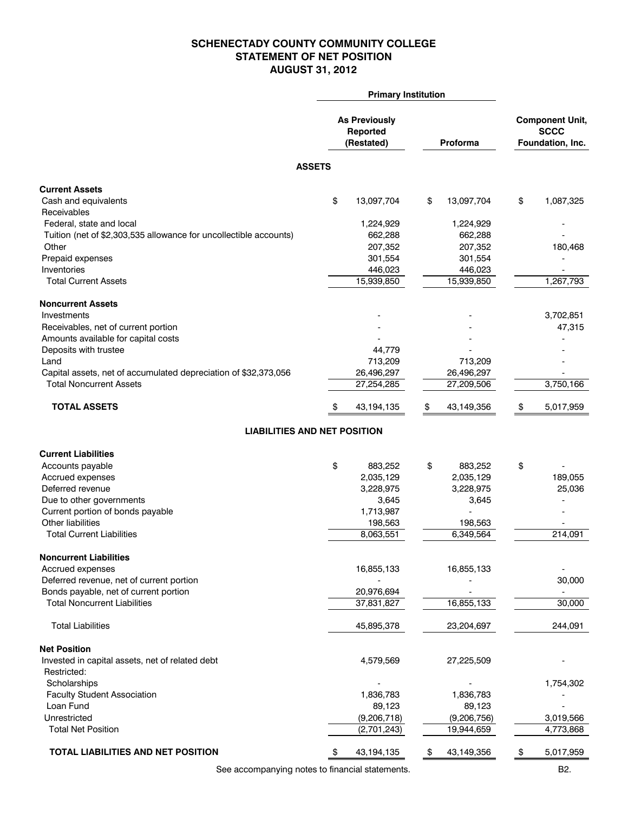## **SCHENECTADY COUNTY COMMUNITY COLLEGE STATEMENT OF NET POSITION AUGUST 31, 2012**

|                                                                   |               | <b>Primary Institution</b>                     |                  |                                                           |
|-------------------------------------------------------------------|---------------|------------------------------------------------|------------------|-----------------------------------------------------------|
|                                                                   |               | <b>As Previously</b><br>Reported<br>(Restated) | Proforma         | <b>Component Unit,</b><br><b>SCCC</b><br>Foundation, Inc. |
|                                                                   | <b>ASSETS</b> |                                                |                  |                                                           |
| <b>Current Assets</b>                                             |               |                                                |                  |                                                           |
| Cash and equivalents                                              | \$            | 13,097,704                                     | \$<br>13,097,704 | \$<br>1,087,325                                           |
| Receivables                                                       |               |                                                |                  |                                                           |
| Federal, state and local                                          |               | 1,224,929                                      | 1,224,929        |                                                           |
| Tuition (net of \$2,303,535 allowance for uncollectible accounts) |               | 662,288                                        | 662,288          |                                                           |
| Other                                                             |               | 207,352                                        | 207,352          | 180,468                                                   |
| Prepaid expenses                                                  |               | 301,554                                        | 301,554          |                                                           |
| Inventories                                                       |               | 446,023                                        | 446,023          |                                                           |
| <b>Total Current Assets</b>                                       |               | 15,939,850                                     | 15,939,850       | 1,267,793                                                 |
| <b>Noncurrent Assets</b>                                          |               |                                                |                  |                                                           |
| Investments                                                       |               |                                                |                  | 3,702,851                                                 |
| Receivables, net of current portion                               |               |                                                |                  | 47,315                                                    |
| Amounts available for capital costs                               |               |                                                |                  |                                                           |
| Deposits with trustee                                             |               | 44,779                                         |                  |                                                           |
| Land                                                              |               | 713,209                                        | 713,209          |                                                           |
| Capital assets, net of accumulated depreciation of \$32,373,056   |               | 26,496,297                                     | 26,496,297       |                                                           |
| <b>Total Noncurrent Assets</b>                                    |               | 27,254,285                                     | 27,209,506       | 3,750,166                                                 |
| <b>TOTAL ASSETS</b>                                               | \$            | 43,194,135                                     | \$<br>43,149,356 | \$<br>5,017,959                                           |
| <b>LIABILITIES AND NET POSITION</b>                               |               |                                                |                  |                                                           |
| <b>Current Liabilities</b>                                        |               |                                                |                  |                                                           |
| Accounts payable                                                  | \$            | 883,252                                        | \$<br>883,252    | \$                                                        |
| Accrued expenses                                                  |               | 2,035,129                                      | 2,035,129        | 189,055                                                   |
| Deferred revenue                                                  |               | 3,228,975                                      | 3,228,975        | 25,036                                                    |
| Due to other governments                                          |               | 3,645                                          | 3,645            |                                                           |
| Current portion of bonds payable                                  |               | 1,713,987                                      |                  |                                                           |
| Other liabilities                                                 |               | 198,563                                        | 198,563          |                                                           |
| <b>Total Current Liabilities</b>                                  |               | 8,063,551                                      | 6,349,564        | $\overline{21}4,091$                                      |
| <b>Noncurrent Liabilities</b>                                     |               |                                                |                  |                                                           |
| Accrued expenses                                                  |               | 16,855,133                                     | 16,855,133       |                                                           |
| Deferred revenue, net of current portion                          |               |                                                |                  | 30,000                                                    |
| Bonds payable, net of current portion                             |               | 20,976,694                                     |                  |                                                           |
| <b>Total Noncurrent Liabilities</b>                               |               | 37,831,827                                     | 16,855,133       | 30,000                                                    |
| <b>Total Liabilities</b>                                          |               | 45,895,378                                     | 23,204,697       | 244,091                                                   |
| <b>Net Position</b>                                               |               |                                                |                  |                                                           |
| Invested in capital assets, net of related debt                   |               | 4,579,569                                      | 27,225,509       |                                                           |
| Restricted:                                                       |               |                                                |                  |                                                           |
| Scholarships                                                      |               |                                                |                  | 1,754,302                                                 |
| <b>Faculty Student Association</b>                                |               | 1,836,783                                      | 1,836,783        |                                                           |
| Loan Fund                                                         |               | 89,123                                         | 89,123           |                                                           |
| Unrestricted                                                      |               | (9,206,718)                                    | (9,206,756)      | 3,019,566                                                 |
| <b>Total Net Position</b>                                         |               | (2,701,243)                                    | 19,944,659       | 4,773,868                                                 |
| <b>TOTAL LIABILITIES AND NET POSITION</b>                         |               | 43,194,135                                     | \$<br>43,149,356 | \$<br>5,017,959                                           |
|                                                                   |               |                                                |                  |                                                           |

See accompanying notes to financial statements. The matter of the second part of the B2.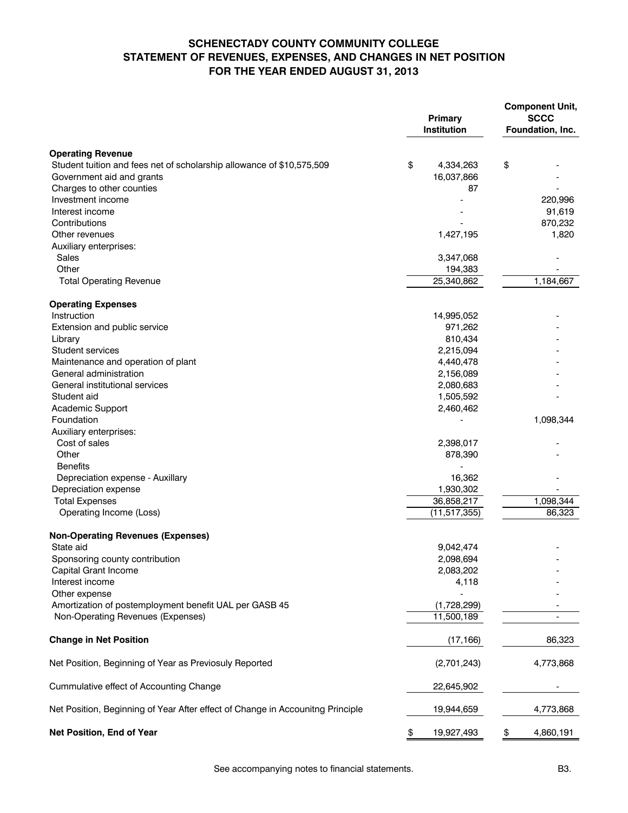## **SCHENECTADY COUNTY COMMUNITY COLLEGE STATEMENT OF REVENUES, EXPENSES, AND CHANGES IN NET POSITION FOR THE YEAR ENDED AUGUST 31, 2013**

|                                                                                |    | <b>Primary</b><br>Institution | <b>Component Unit,</b><br><b>SCCC</b><br>Foundation, Inc. |           |  |
|--------------------------------------------------------------------------------|----|-------------------------------|-----------------------------------------------------------|-----------|--|
| <b>Operating Revenue</b>                                                       |    |                               |                                                           |           |  |
| Student tuition and fees net of scholarship allowance of \$10,575,509          | \$ | 4,334,263                     | \$                                                        |           |  |
| Government aid and grants                                                      |    | 16,037,866                    |                                                           |           |  |
| Charges to other counties                                                      |    | 87                            |                                                           |           |  |
| Investment income                                                              |    |                               |                                                           | 220,996   |  |
| Interest income                                                                |    |                               |                                                           | 91,619    |  |
| Contributions                                                                  |    |                               |                                                           | 870,232   |  |
| Other revenues                                                                 |    | 1,427,195                     |                                                           | 1,820     |  |
| Auxiliary enterprises:                                                         |    |                               |                                                           |           |  |
| Sales                                                                          |    | 3,347,068                     |                                                           |           |  |
| Other                                                                          |    | 194,383                       |                                                           |           |  |
| <b>Total Operating Revenue</b>                                                 |    | 25,340,862                    |                                                           | 1,184,667 |  |
| <b>Operating Expenses</b>                                                      |    |                               |                                                           |           |  |
| Instruction                                                                    |    | 14,995,052                    |                                                           |           |  |
| Extension and public service                                                   |    | 971,262                       |                                                           |           |  |
| Library                                                                        |    | 810,434                       |                                                           |           |  |
| <b>Student services</b>                                                        |    | 2,215,094                     |                                                           |           |  |
| Maintenance and operation of plant                                             |    | 4,440,478                     |                                                           |           |  |
| General administration                                                         |    | 2,156,089                     |                                                           |           |  |
| General institutional services                                                 |    | 2,080,683                     |                                                           |           |  |
| Student aid                                                                    |    | 1,505,592                     |                                                           |           |  |
| Academic Support                                                               |    | 2,460,462                     |                                                           |           |  |
| Foundation                                                                     |    |                               |                                                           | 1,098,344 |  |
| Auxiliary enterprises:                                                         |    |                               |                                                           |           |  |
| Cost of sales                                                                  |    |                               |                                                           |           |  |
| Other                                                                          |    | 2,398,017                     |                                                           |           |  |
|                                                                                |    | 878,390                       |                                                           |           |  |
| <b>Benefits</b>                                                                |    |                               |                                                           |           |  |
| Depreciation expense - Auxillary                                               |    | 16,362                        |                                                           |           |  |
| Depreciation expense                                                           |    | 1,930,302                     |                                                           |           |  |
| <b>Total Expenses</b>                                                          |    | 36,858,217                    |                                                           | 1,098,344 |  |
| Operating Income (Loss)                                                        |    | (11, 517, 355)                |                                                           | 86,323    |  |
| <b>Non-Operating Revenues (Expenses)</b>                                       |    |                               |                                                           |           |  |
| State aid                                                                      |    | 9,042,474                     |                                                           |           |  |
| Sponsoring county contribution                                                 |    | 2,098,694                     |                                                           |           |  |
| Capital Grant Income                                                           |    | 2,083,202                     |                                                           |           |  |
| Interest income                                                                |    | 4,118                         |                                                           |           |  |
| Other expense                                                                  |    |                               |                                                           |           |  |
| Amortization of postemployment benefit UAL per GASB 45                         |    | (1,728,299)                   |                                                           |           |  |
| Non-Operating Revenues (Expenses)                                              |    | 11,500,189                    |                                                           |           |  |
| <b>Change in Net Position</b>                                                  |    | (17, 166)                     |                                                           | 86,323    |  |
| Net Position, Beginning of Year as Previosuly Reported                         |    | (2,701,243)                   |                                                           | 4,773,868 |  |
| Cummulative effect of Accounting Change                                        |    | 22,645,902                    |                                                           |           |  |
| Net Position, Beginning of Year After effect of Change in Accounitng Principle |    | 19,944,659                    |                                                           | 4,773,868 |  |
| Net Position, End of Year                                                      | \$ | 19,927,493                    | \$                                                        | 4,860,191 |  |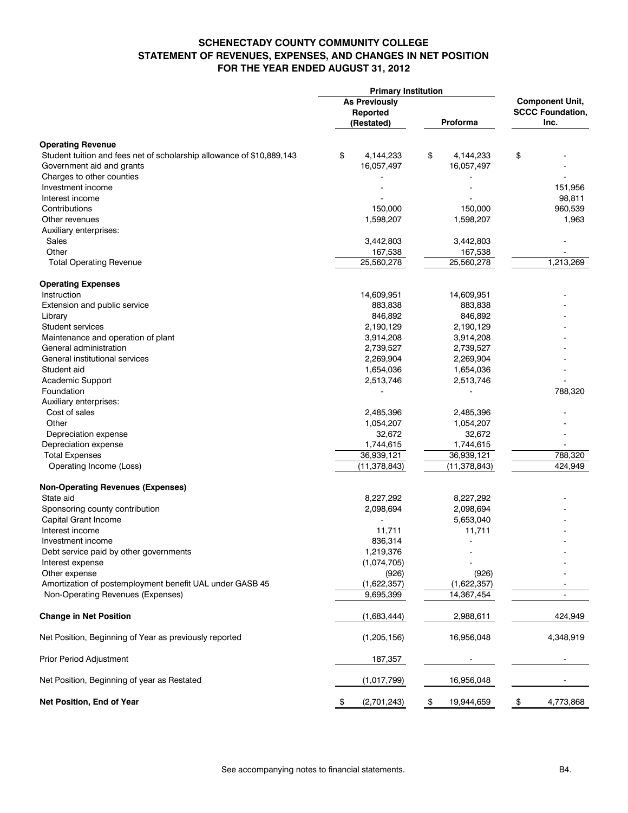## **SCHENECTADY COUNTY COMMUNITY COLLEGE STATEMENT OF REVENUES, EXPENSES, AND CHANGES IN NET POSITION FOR THE YEAR ENDED AUGUST 31, 2012**

|                                                                       | <b>Primary Institution</b> |                          |                         |
|-----------------------------------------------------------------------|----------------------------|--------------------------|-------------------------|
|                                                                       | <b>As Previously</b>       |                          | <b>Component Unit,</b>  |
|                                                                       | Reported                   |                          | <b>SCCC Foundation,</b> |
|                                                                       | (Restated)                 | Proforma                 | Inc.                    |
| <b>Operating Revenue</b>                                              |                            |                          |                         |
| Student tuition and fees net of scholarship allowance of \$10,889,143 | \$<br>4,144,233            | \$<br>4,144,233          | \$                      |
| Government aid and grants                                             | 16,057,497                 | 16,057,497               |                         |
| Charges to other counties                                             |                            |                          |                         |
| Investment income                                                     |                            |                          | 151,956                 |
| Interest income                                                       |                            |                          | 98,811                  |
| Contributions                                                         | 150,000                    | 150,000                  | 960,539                 |
| Other revenues                                                        | 1,598,207                  | 1,598,207                | 1,963                   |
| Auxiliary enterprises:                                                |                            |                          |                         |
| Sales                                                                 |                            |                          |                         |
|                                                                       | 3,442,803                  | 3,442,803                |                         |
| Other                                                                 | 167,538                    | 167,538                  |                         |
| <b>Total Operating Revenue</b>                                        | 25,560,278                 | 25,560,278               | 1,213,269               |
| <b>Operating Expenses</b>                                             |                            |                          |                         |
| Instruction                                                           | 14,609,951                 | 14,609,951               |                         |
| Extension and public service                                          | 883,838                    | 883,838                  |                         |
| Library                                                               | 846,892                    | 846,892                  |                         |
| Student services                                                      | 2,190,129                  | 2,190,129                |                         |
| Maintenance and operation of plant                                    | 3,914,208                  | 3,914,208                |                         |
| General administration                                                | 2,739,527                  | 2,739,527                |                         |
| General institutional services                                        | 2,269,904                  | 2,269,904                |                         |
| Student aid                                                           | 1,654,036                  | 1,654,036                |                         |
| Academic Support                                                      | 2,513,746                  | 2,513,746                |                         |
| Foundation                                                            |                            |                          | 788,320                 |
| Auxiliary enterprises:                                                |                            |                          |                         |
| Cost of sales                                                         | 2,485,396                  | 2,485,396                |                         |
| Other                                                                 | 1,054,207                  | 1,054,207                |                         |
|                                                                       |                            |                          |                         |
| Depreciation expense                                                  | 32,672                     | 32,672                   |                         |
| Depreciation expense                                                  | 1,744,615                  | 1,744,615                |                         |
| <b>Total Expenses</b>                                                 | 36,939,121                 | 36,939,121               | 788,320                 |
| Operating Income (Loss)                                               | (11, 378, 843)             | (11, 378, 843)           | 424,949                 |
| <b>Non-Operating Revenues (Expenses)</b>                              |                            |                          |                         |
| State aid                                                             | 8,227,292                  | 8,227,292                |                         |
| Sponsoring county contribution                                        | 2,098,694                  | 2,098,694                |                         |
| <b>Capital Grant Income</b>                                           |                            | 5,653,040                |                         |
| Interest income                                                       | 11,711                     | 11,711                   |                         |
| Investment income                                                     | 836,314                    | $\overline{\phantom{a}}$ |                         |
| Debt service paid by other governments                                | 1,219,376                  |                          |                         |
| Interest expense                                                      | (1,074,705)                |                          |                         |
| Other expense                                                         | (926)                      | (926)                    |                         |
| Amortization of postemployment benefit UAL under GASB 45              | (1,622,357)                | (1,622,357)              |                         |
| Non-Operating Revenues (Expenses)                                     | 9,695,399                  | 14,367,454               |                         |
| <b>Change in Net Position</b>                                         | (1,683,444)                | 2,988,611                | 424,949                 |
| Net Position, Beginning of Year as previously reported                | (1,205,156)                | 16,956,048               | 4,348,919               |
| Prior Period Adjustment                                               | 187,357                    |                          |                         |
| Net Position, Beginning of year as Restated                           | (1,017,799)                | 16,956,048               |                         |
| Net Position, End of Year                                             | \$<br>(2,701,243)          | \$<br>19,944,659         | \$<br>4,773,868         |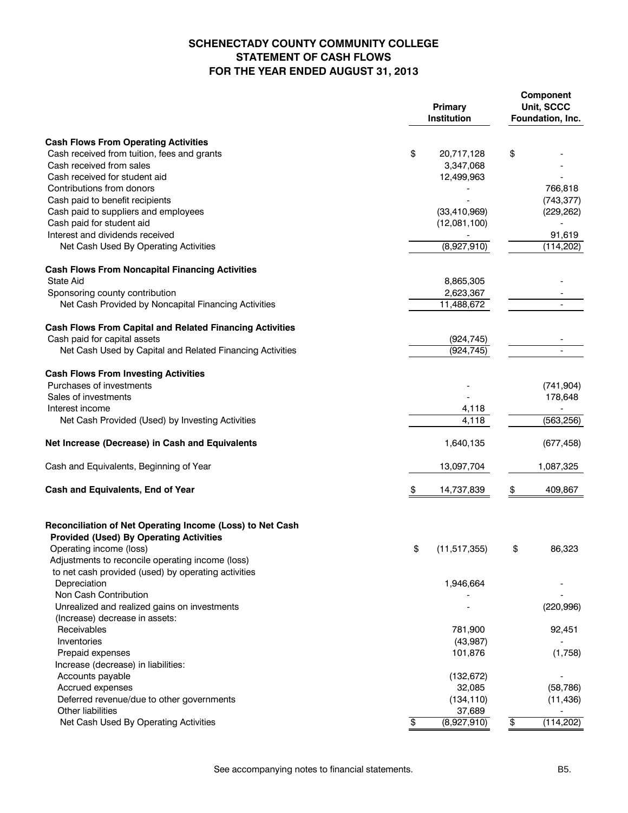## **SCHENECTADY COUNTY COMMUNITY COLLEGE STATEMENT OF CASH FLOWS FOR THE YEAR ENDED AUGUST 31, 2013**

|                                                                                                                                                                                            |                         | <b>Primary</b><br><b>Institution</b> |    |            |
|--------------------------------------------------------------------------------------------------------------------------------------------------------------------------------------------|-------------------------|--------------------------------------|----|------------|
| <b>Cash Flows From Operating Activities</b>                                                                                                                                                |                         |                                      |    |            |
| Cash received from tuition, fees and grants                                                                                                                                                | \$                      | 20,717,128                           | \$ |            |
| Cash received from sales                                                                                                                                                                   |                         | 3,347,068                            |    |            |
| Cash received for student aid                                                                                                                                                              |                         | 12,499,963                           |    |            |
| Contributions from donors                                                                                                                                                                  |                         |                                      |    | 766,818    |
| Cash paid to benefit recipients                                                                                                                                                            |                         |                                      |    | (743, 377) |
| Cash paid to suppliers and employees                                                                                                                                                       |                         | (33, 410, 969)                       |    | (229, 262) |
| Cash paid for student aid                                                                                                                                                                  |                         | (12,081,100)                         |    |            |
| Interest and dividends received                                                                                                                                                            |                         |                                      |    | 91,619     |
| Net Cash Used By Operating Activities                                                                                                                                                      |                         | (8,927,910)                          |    | (114, 202) |
| <b>Cash Flows From Noncapital Financing Activities</b>                                                                                                                                     |                         |                                      |    |            |
| State Aid                                                                                                                                                                                  |                         | 8,865,305                            |    |            |
| Sponsoring county contribution                                                                                                                                                             |                         | 2,623,367                            |    |            |
| Net Cash Provided by Noncapital Financing Activities                                                                                                                                       |                         | 11,488,672                           |    |            |
| <b>Cash Flows From Capital and Related Financing Activities</b>                                                                                                                            |                         |                                      |    |            |
| Cash paid for capital assets                                                                                                                                                               |                         | (924, 745)                           |    |            |
| Net Cash Used by Capital and Related Financing Activities                                                                                                                                  |                         | (924, 745)                           |    |            |
| <b>Cash Flows From Investing Activities</b>                                                                                                                                                |                         |                                      |    |            |
| Purchases of investments                                                                                                                                                                   |                         |                                      |    | (741, 904) |
| Sales of investments                                                                                                                                                                       |                         |                                      |    | 178,648    |
| Interest income                                                                                                                                                                            |                         | 4,118                                |    |            |
| Net Cash Provided (Used) by Investing Activities                                                                                                                                           |                         | 4,118                                |    | (563, 256) |
| Net Increase (Decrease) in Cash and Equivalents                                                                                                                                            |                         | 1,640,135                            |    | (677, 458) |
| Cash and Equivalents, Beginning of Year                                                                                                                                                    |                         | 13,097,704                           |    | 1,087,325  |
| <b>Cash and Equivalents, End of Year</b>                                                                                                                                                   | \$                      | 14,737,839                           | \$ | 409,867    |
| Reconciliation of Net Operating Income (Loss) to Net Cash<br><b>Provided (Used) By Operating Activities</b><br>Operating income (loss)<br>Adjustments to reconcile operating income (loss) | \$                      | (11, 517, 355)                       | \$ | 86,323     |
| to net cash provided (used) by operating activities<br>Depreciation                                                                                                                        |                         | 1,946,664                            |    |            |
| Non Cash Contribution                                                                                                                                                                      |                         |                                      |    |            |
| Unrealized and realized gains on investments                                                                                                                                               |                         |                                      |    | (220, 996) |
| (Increase) decrease in assets:                                                                                                                                                             |                         |                                      |    |            |
| Receivables                                                                                                                                                                                |                         | 781,900                              |    | 92,451     |
| Inventories                                                                                                                                                                                |                         | (43, 987)                            |    |            |
| Prepaid expenses                                                                                                                                                                           |                         | 101,876                              |    | (1,758)    |
| Increase (decrease) in liabilities:                                                                                                                                                        |                         |                                      |    |            |
| Accounts payable                                                                                                                                                                           |                         | (132, 672)                           |    |            |
| Accrued expenses                                                                                                                                                                           |                         | 32,085                               |    | (58, 786)  |
| Deferred revenue/due to other governments                                                                                                                                                  |                         | (134, 110)                           |    | (11, 436)  |
| <b>Other liabilities</b>                                                                                                                                                                   |                         | 37,689                               |    |            |
| Net Cash Used By Operating Activities                                                                                                                                                      | $\overline{\mathbf{e}}$ | (8,927,910)                          | \$ | (114, 202) |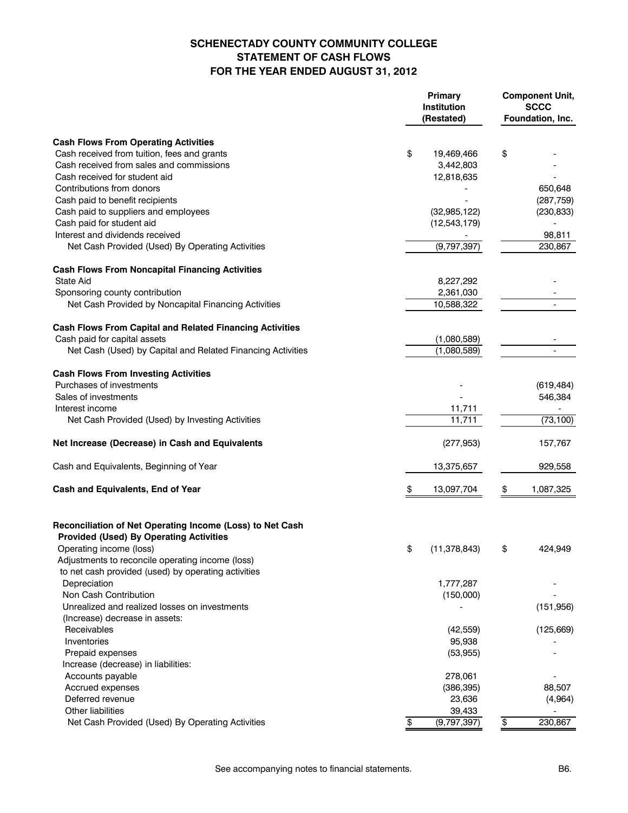## **SCHENECTADY COUNTY COMMUNITY COLLEGE STATEMENT OF CASH FLOWS FOR THE YEAR ENDED AUGUST 31, 2012**

|                                                                                                             |                         | <b>Primary</b><br>Institution<br>(Restated) | <b>Component Unit,</b><br><b>SCCC</b><br>Foundation, Inc. |            |  |
|-------------------------------------------------------------------------------------------------------------|-------------------------|---------------------------------------------|-----------------------------------------------------------|------------|--|
| <b>Cash Flows From Operating Activities</b>                                                                 |                         |                                             |                                                           |            |  |
| Cash received from tuition, fees and grants                                                                 | \$                      | 19,469,466                                  | \$                                                        |            |  |
| Cash received from sales and commissions                                                                    |                         | 3,442,803                                   |                                                           |            |  |
| Cash received for student aid                                                                               |                         | 12,818,635                                  |                                                           |            |  |
| Contributions from donors                                                                                   |                         |                                             |                                                           | 650,648    |  |
| Cash paid to benefit recipients                                                                             |                         |                                             |                                                           | (287, 759) |  |
| Cash paid to suppliers and employees                                                                        |                         | (32,985,122)                                |                                                           | (230, 833) |  |
| Cash paid for student aid                                                                                   |                         | (12, 543, 179)                              |                                                           |            |  |
| Interest and dividends received                                                                             |                         |                                             |                                                           | 98,811     |  |
| Net Cash Provided (Used) By Operating Activities                                                            |                         | (9,797,397)                                 |                                                           | 230,867    |  |
| <b>Cash Flows From Noncapital Financing Activities</b>                                                      |                         |                                             |                                                           |            |  |
| <b>State Aid</b>                                                                                            |                         | 8,227,292                                   |                                                           |            |  |
| Sponsoring county contribution                                                                              |                         | 2,361,030                                   |                                                           |            |  |
| Net Cash Provided by Noncapital Financing Activities                                                        |                         | 10,588,322                                  |                                                           |            |  |
| <b>Cash Flows From Capital and Related Financing Activities</b>                                             |                         |                                             |                                                           |            |  |
| Cash paid for capital assets                                                                                |                         | (1,080,589)                                 |                                                           |            |  |
| Net Cash (Used) by Capital and Related Financing Activities                                                 |                         | (1,080,589)                                 |                                                           |            |  |
| <b>Cash Flows From Investing Activities</b>                                                                 |                         |                                             |                                                           |            |  |
| Purchases of investments                                                                                    |                         |                                             |                                                           | (619, 484) |  |
| Sales of investments                                                                                        |                         |                                             |                                                           | 546,384    |  |
| Interest income                                                                                             |                         | 11,711                                      |                                                           |            |  |
| Net Cash Provided (Used) by Investing Activities                                                            |                         | 11,711                                      |                                                           | (73, 100)  |  |
| Net Increase (Decrease) in Cash and Equivalents                                                             |                         | (277, 953)                                  |                                                           | 157,767    |  |
| Cash and Equivalents, Beginning of Year                                                                     |                         | 13,375,657                                  |                                                           | 929,558    |  |
| Cash and Equivalents, End of Year                                                                           | \$                      | 13,097,704                                  | \$                                                        | 1,087,325  |  |
| Reconciliation of Net Operating Income (Loss) to Net Cash<br><b>Provided (Used) By Operating Activities</b> |                         |                                             |                                                           |            |  |
| Operating income (loss)                                                                                     | \$                      | (11, 378, 843)                              | \$                                                        | 424,949    |  |
| Adjustments to reconcile operating income (loss)                                                            |                         |                                             |                                                           |            |  |
| to net cash provided (used) by operating activities                                                         |                         |                                             |                                                           |            |  |
| Depreciation                                                                                                |                         | 1,777,287                                   |                                                           |            |  |
| Non Cash Contribution                                                                                       |                         | (150,000)                                   |                                                           |            |  |
| Unrealized and realized losses on investments                                                               |                         |                                             |                                                           | (151, 956) |  |
| (Increase) decrease in assets:                                                                              |                         |                                             |                                                           |            |  |
| Receivables                                                                                                 |                         | (42, 559)                                   |                                                           | (125, 669) |  |
| Inventories                                                                                                 |                         | 95,938                                      |                                                           |            |  |
| Prepaid expenses                                                                                            |                         | (53, 955)                                   |                                                           |            |  |
| Increase (decrease) in liabilities:                                                                         |                         |                                             |                                                           |            |  |
| Accounts payable                                                                                            |                         | 278,061                                     |                                                           |            |  |
| Accrued expenses                                                                                            |                         | (386, 395)                                  |                                                           | 88,507     |  |
| Deferred revenue                                                                                            |                         | 23,636                                      |                                                           | (4,964)    |  |
| <b>Other liabilities</b>                                                                                    |                         | 39,433                                      |                                                           |            |  |
| Net Cash Provided (Used) By Operating Activities                                                            | $\overline{\mathbf{e}}$ | (9,797,397)                                 | $\overline{\$}$                                           | 230,867    |  |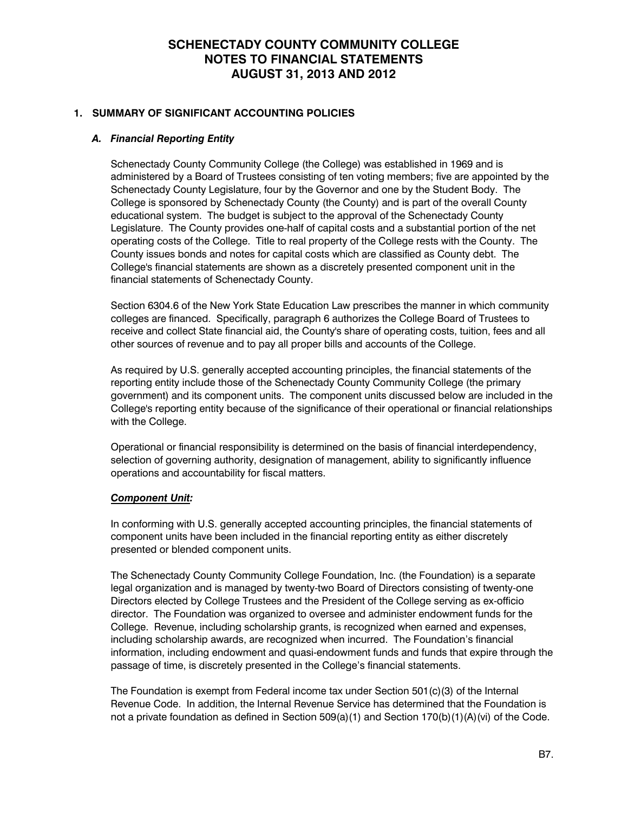## **1. SUMMARY OF SIGNIFICANT ACCOUNTING POLICIES**

## *A. Financial Reporting Entity*

Schenectady County Community College (the College) was established in 1969 and is administered by a Board of Trustees consisting of ten voting members; five are appointed by the Schenectady County Legislature, four by the Governor and one by the Student Body. The College is sponsored by Schenectady County (the County) and is part of the overall County educational system. The budget is subject to the approval of the Schenectady County Legislature. The County provides one-half of capital costs and a substantial portion of the net operating costs of the College. Title to real property of the College rests with the County. The County issues bonds and notes for capital costs which are classified as County debt. The College's financial statements are shown as a discretely presented component unit in the financial statements of Schenectady County.

Section 6304.6 of the New York State Education Law prescribes the manner in which community colleges are financed. Specifically, paragraph 6 authorizes the College Board of Trustees to receive and collect State financial aid, the County's share of operating costs, tuition, fees and all other sources of revenue and to pay all proper bills and accounts of the College.

As required by U.S. generally accepted accounting principles, the financial statements of the reporting entity include those of the Schenectady County Community College (the primary government) and its component units. The component units discussed below are included in the College's reporting entity because of the significance of their operational or financial relationships with the College.

Operational or financial responsibility is determined on the basis of financial interdependency, selection of governing authority, designation of management, ability to significantly influence operations and accountability for fiscal matters.

## *Component Unit:*

In conforming with U.S. generally accepted accounting principles, the financial statements of component units have been included in the financial reporting entity as either discretely presented or blended component units.

The Schenectady County Community College Foundation, Inc. (the Foundation) is a separate legal organization and is managed by twenty-two Board of Directors consisting of twenty-one Directors elected by College Trustees and the President of the College serving as ex-officio director. The Foundation was organized to oversee and administer endowment funds for the College. Revenue, including scholarship grants, is recognized when earned and expenses, including scholarship awards, are recognized when incurred. The Foundation's financial information, including endowment and quasi-endowment funds and funds that expire through the passage of time, is discretely presented in the College's financial statements.

The Foundation is exempt from Federal income tax under Section 501(c)(3) of the Internal Revenue Code. In addition, the Internal Revenue Service has determined that the Foundation is not a private foundation as defined in Section 509(a)(1) and Section 170(b)(1)(A)(vi) of the Code.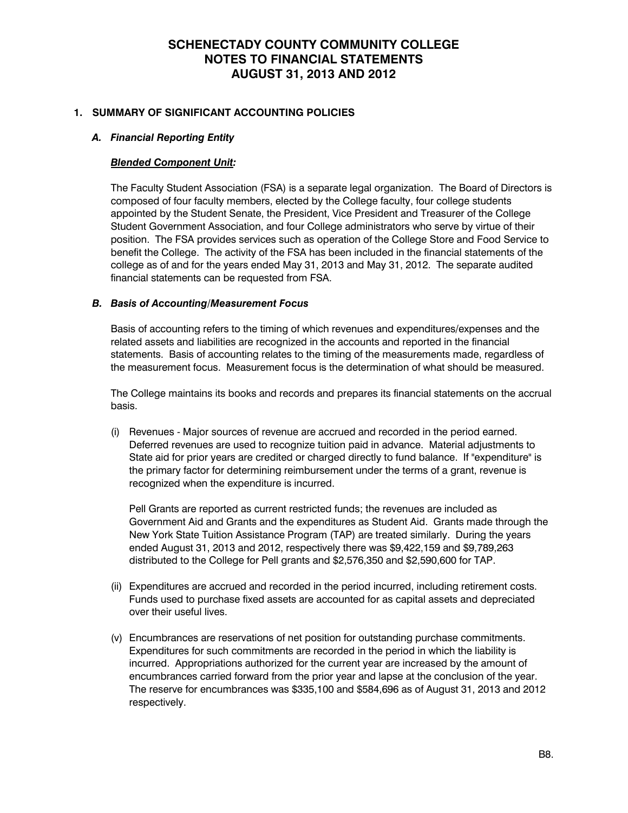## **1. SUMMARY OF SIGNIFICANT ACCOUNTING POLICIES**

### *A. Financial Reporting Entity*

### *Blended Component Unit:*

The Faculty Student Association (FSA) is a separate legal organization. The Board of Directors is composed of four faculty members, elected by the College faculty, four college students appointed by the Student Senate, the President, Vice President and Treasurer of the College Student Government Association, and four College administrators who serve by virtue of their position. The FSA provides services such as operation of the College Store and Food Service to benefit the College. The activity of the FSA has been included in the financial statements of the college as of and for the years ended May 31, 2013 and May 31, 2012. The separate audited financial statements can be requested from FSA.

### *B. Basis of Accounting/Measurement Focus*

Basis of accounting refers to the timing of which revenues and expenditures/expenses and the related assets and liabilities are recognized in the accounts and reported in the financial statements. Basis of accounting relates to the timing of the measurements made, regardless of the measurement focus. Measurement focus is the determination of what should be measured.

The College maintains its books and records and prepares its financial statements on the accrual basis.

(i) Revenues - Major sources of revenue are accrued and recorded in the period earned. Deferred revenues are used to recognize tuition paid in advance. Material adjustments to State aid for prior years are credited or charged directly to fund balance. If "expenditure" is the primary factor for determining reimbursement under the terms of a grant, revenue is recognized when the expenditure is incurred.

Pell Grants are reported as current restricted funds; the revenues are included as Government Aid and Grants and the expenditures as Student Aid. Grants made through the New York State Tuition Assistance Program (TAP) are treated similarly. During the years ended August 31, 2013 and 2012, respectively there was \$9,422,159 and \$9,789,263 distributed to the College for Pell grants and \$2,576,350 and \$2,590,600 for TAP.

- (ii) Expenditures are accrued and recorded in the period incurred, including retirement costs. Funds used to purchase fixed assets are accounted for as capital assets and depreciated over their useful lives.
- (v) Encumbrances are reservations of net position for outstanding purchase commitments. Expenditures for such commitments are recorded in the period in which the liability is incurred. Appropriations authorized for the current year are increased by the amount of encumbrances carried forward from the prior year and lapse at the conclusion of the year. The reserve for encumbrances was \$335,100 and \$584,696 as of August 31, 2013 and 2012 respectively.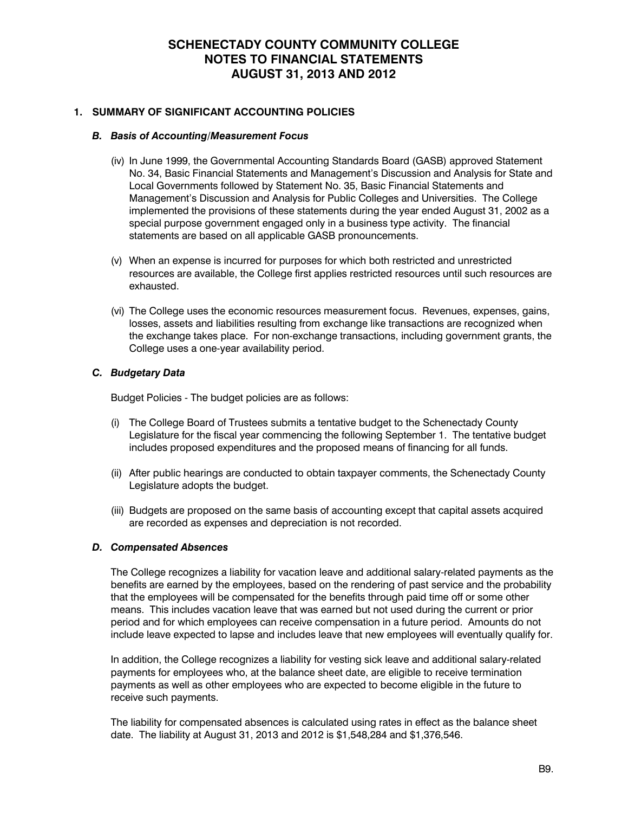### **1. SUMMARY OF SIGNIFICANT ACCOUNTING POLICIES**

#### *B. Basis of Accounting/Measurement Focus*

- (iv) In June 1999, the Governmental Accounting Standards Board (GASB) approved Statement No. 34, Basic Financial Statements and Management's Discussion and Analysis for State and Local Governments followed by Statement No. 35, Basic Financial Statements and Management's Discussion and Analysis for Public Colleges and Universities. The College implemented the provisions of these statements during the year ended August 31, 2002 as a special purpose government engaged only in a business type activity. The financial statements are based on all applicable GASB pronouncements.
- (v) When an expense is incurred for purposes for which both restricted and unrestricted resources are available, the College first applies restricted resources until such resources are exhausted.
- (vi) The College uses the economic resources measurement focus. Revenues, expenses, gains, losses, assets and liabilities resulting from exchange like transactions are recognized when the exchange takes place. For non-exchange transactions, including government grants, the College uses a one-year availability period.

#### *C. Budgetary Data*

Budget Policies - The budget policies are as follows:

- (i) The College Board of Trustees submits a tentative budget to the Schenectady County Legislature for the fiscal year commencing the following September 1. The tentative budget includes proposed expenditures and the proposed means of financing for all funds.
- (ii) After public hearings are conducted to obtain taxpayer comments, the Schenectady County Legislature adopts the budget.
- (iii) Budgets are proposed on the same basis of accounting except that capital assets acquired are recorded as expenses and depreciation is not recorded.

#### *D. Compensated Absences*

The College recognizes a liability for vacation leave and additional salary-related payments as the benefits are earned by the employees, based on the rendering of past service and the probability that the employees will be compensated for the benefits through paid time off or some other means. This includes vacation leave that was earned but not used during the current or prior period and for which employees can receive compensation in a future period. Amounts do not include leave expected to lapse and includes leave that new employees will eventually qualify for.

In addition, the College recognizes a liability for vesting sick leave and additional salary-related payments for employees who, at the balance sheet date, are eligible to receive termination payments as well as other employees who are expected to become eligible in the future to receive such payments.

The liability for compensated absences is calculated using rates in effect as the balance sheet date. The liability at August 31, 2013 and 2012 is \$1,548,284 and \$1,376,546.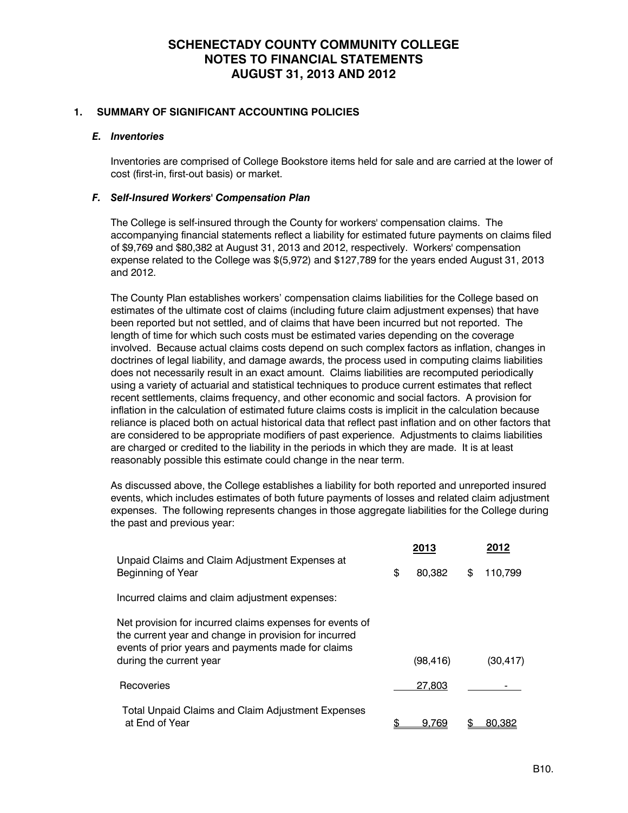### **1. SUMMARY OF SIGNIFICANT ACCOUNTING POLICIES**

#### *E. Inventories*

Inventories are comprised of College Bookstore items held for sale and are carried at the lower of cost (first-in, first-out basis) or market.

### *F. Self-Insured Workers' Compensation Plan*

The College is self-insured through the County for workers' compensation claims. The accompanying financial statements reflect a liability for estimated future payments on claims filed of \$9,769 and \$80,382 at August 31, 2013 and 2012, respectively. Workers' compensation expense related to the College was \$(5,972) and \$127,789 for the years ended August 31, 2013 and 2012.

The County Plan establishes workers' compensation claims liabilities for the College based on estimates of the ultimate cost of claims (including future claim adjustment expenses) that have been reported but not settled, and of claims that have been incurred but not reported. The length of time for which such costs must be estimated varies depending on the coverage involved. Because actual claims costs depend on such complex factors as inflation, changes in doctrines of legal liability, and damage awards, the process used in computing claims liabilities does not necessarily result in an exact amount. Claims liabilities are recomputed periodically using a variety of actuarial and statistical techniques to produce current estimates that reflect recent settlements, claims frequency, and other economic and social factors. A provision for inflation in the calculation of estimated future claims costs is implicit in the calculation because reliance is placed both on actual historical data that reflect past inflation and on other factors that are considered to be appropriate modifiers of past experience. Adjustments to claims liabilities are charged or credited to the liability in the periods in which they are made. It is at least reasonably possible this estimate could change in the near term.

As discussed above, the College establishes a liability for both reported and unreported insured events, which includes estimates of both future payments of losses and related claim adjustment expenses. The following represents changes in those aggregate liabilities for the College during the past and previous year:

|                                                                                                                                                                                                    |    | 2013      | 2012          |  |  |
|----------------------------------------------------------------------------------------------------------------------------------------------------------------------------------------------------|----|-----------|---------------|--|--|
| Unpaid Claims and Claim Adjustment Expenses at<br>Beginning of Year                                                                                                                                | \$ | 80,382    | \$<br>110,799 |  |  |
| Incurred claims and claim adjustment expenses:                                                                                                                                                     |    |           |               |  |  |
| Net provision for incurred claims expenses for events of<br>the current year and change in provision for incurred<br>events of prior years and payments made for claims<br>during the current year |    | (98, 416) | (30, 417)     |  |  |
| Recoveries                                                                                                                                                                                         |    | 27,803    |               |  |  |
| <b>Total Unpaid Claims and Claim Adjustment Expenses</b><br>at End of Year                                                                                                                         |    | 9,769     | 80.382        |  |  |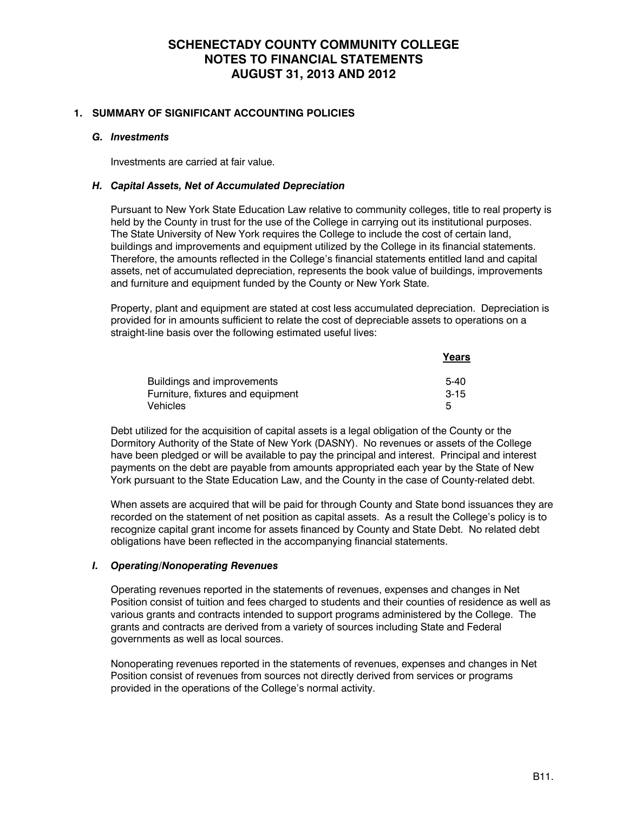## **1. SUMMARY OF SIGNIFICANT ACCOUNTING POLICIES**

#### *G. Investments*

Investments are carried at fair value.

### *H. Capital Assets, Net of Accumulated Depreciation*

Pursuant to New York State Education Law relative to community colleges, title to real property is held by the County in trust for the use of the College in carrying out its institutional purposes. The State University of New York requires the College to include the cost of certain land, buildings and improvements and equipment utilized by the College in its financial statements. Therefore, the amounts reflected in the College's financial statements entitled land and capital assets, net of accumulated depreciation, represents the book value of buildings, improvements and furniture and equipment funded by the County or New York State.

Property, plant and equipment are stated at cost less accumulated depreciation. Depreciation is provided for in amounts sufficient to relate the cost of depreciable assets to operations on a straight-line basis over the following estimated useful lives:

|                                   | Years    |
|-----------------------------------|----------|
| Buildings and improvements        | 5-40     |
| Furniture, fixtures and equipment | $3 - 15$ |
| <b>Vehicles</b>                   | 5        |

Debt utilized for the acquisition of capital assets is a legal obligation of the County or the Dormitory Authority of the State of New York (DASNY). No revenues or assets of the College have been pledged or will be available to pay the principal and interest. Principal and interest payments on the debt are payable from amounts appropriated each year by the State of New York pursuant to the State Education Law, and the County in the case of County-related debt.

When assets are acquired that will be paid for through County and State bond issuances they are recorded on the statement of net position as capital assets. As a result the College's policy is to recognize capital grant income for assets financed by County and State Debt. No related debt obligations have been reflected in the accompanying financial statements.

## *I. Operating/Nonoperating Revenues*

Operating revenues reported in the statements of revenues, expenses and changes in Net Position consist of tuition and fees charged to students and their counties of residence as well as various grants and contracts intended to support programs administered by the College. The grants and contracts are derived from a variety of sources including State and Federal governments as well as local sources.

Nonoperating revenues reported in the statements of revenues, expenses and changes in Net Position consist of revenues from sources not directly derived from services or programs provided in the operations of the College's normal activity.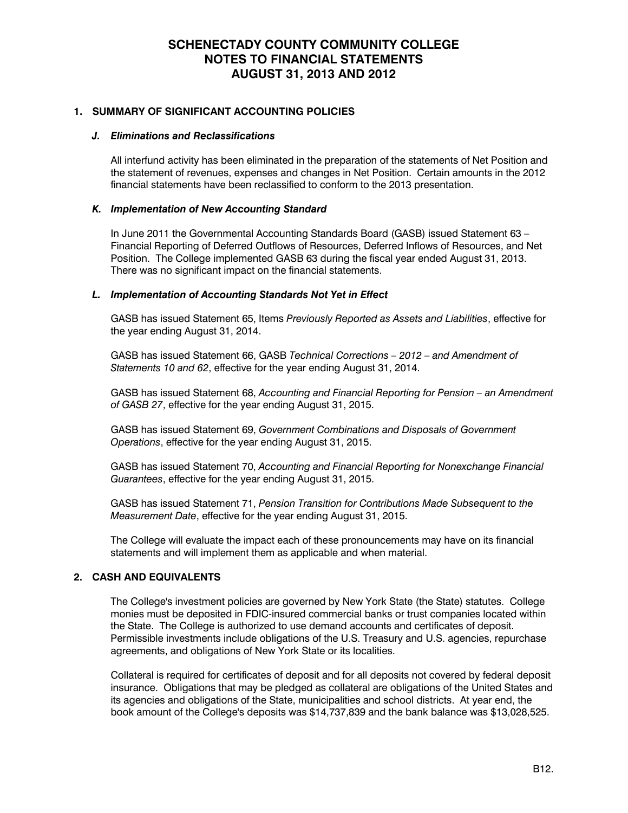#### **1. SUMMARY OF SIGNIFICANT ACCOUNTING POLICIES**

#### *J. Eliminations and Reclassifications*

All interfund activity has been eliminated in the preparation of the statements of Net Position and the statement of revenues, expenses and changes in Net Position. Certain amounts in the 2012 financial statements have been reclassified to conform to the 2013 presentation.

#### *K. Implementation of New Accounting Standard*

In June 2011 the Governmental Accounting Standards Board (GASB) issued Statement 63 – Financial Reporting of Deferred Outflows of Resources, Deferred Inflows of Resources, and Net Position. The College implemented GASB 63 during the fiscal year ended August 31, 2013. There was no significant impact on the financial statements.

#### *L. Implementation of Accounting Standards Not Yet in Effect*

GASB has issued Statement 65, Items *Previously Reported as Assets and Liabilities*, effective for the year ending August 31, 2014.

 GASB has issued Statement 66, GASB *Technical Corrections – 2012 – and Amendment of Statements 10 and 62*, effective for the year ending August 31, 2014.

 GASB has issued Statement 68, *Accounting and Financial Reporting for Pension – an Amendment of GASB 27*, effective for the year ending August 31, 2015.

 GASB has issued Statement 69, *Government Combinations and Disposals of Government Operations*, effective for the year ending August 31, 2015.

 GASB has issued Statement 70, *Accounting and Financial Reporting for Nonexchange Financial Guarantees*, effective for the year ending August 31, 2015.

GASB has issued Statement 71, *Pension Transition for Contributions Made Subsequent to the Measurement Date*, effective for the year ending August 31, 2015.

The College will evaluate the impact each of these pronouncements may have on its financial statements and will implement them as applicable and when material.

#### **2. CASH AND EQUIVALENTS**

The College's investment policies are governed by New York State (the State) statutes. College monies must be deposited in FDIC-insured commercial banks or trust companies located within the State. The College is authorized to use demand accounts and certificates of deposit. Permissible investments include obligations of the U.S. Treasury and U.S. agencies, repurchase agreements, and obligations of New York State or its localities.

Collateral is required for certificates of deposit and for all deposits not covered by federal deposit insurance. Obligations that may be pledged as collateral are obligations of the United States and its agencies and obligations of the State, municipalities and school districts. At year end, the book amount of the College's deposits was \$14,737,839 and the bank balance was \$13,028,525.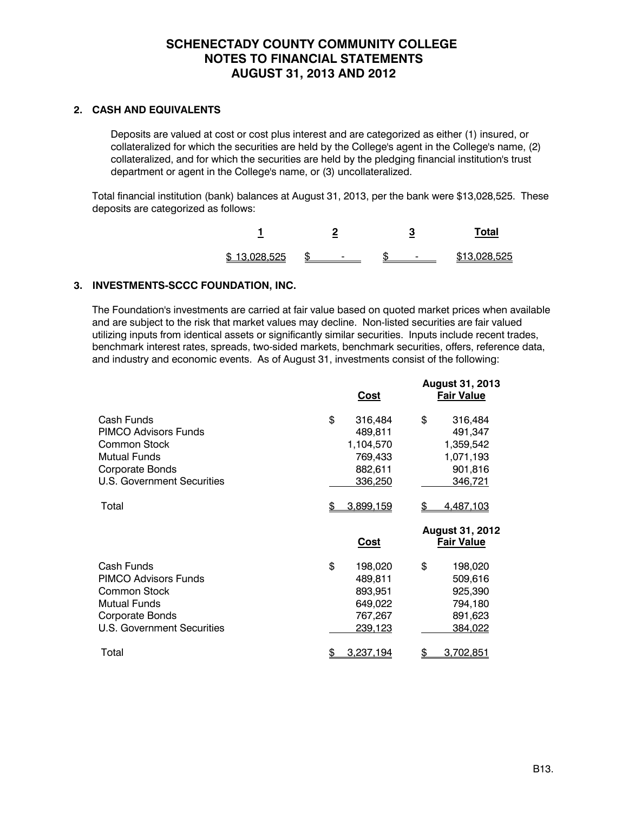#### **2. CASH AND EQUIVALENTS**

Deposits are valued at cost or cost plus interest and are categorized as either (1) insured, or collateralized for which the securities are held by the College's agent in the College's name, (2) collateralized, and for which the securities are held by the pledging financial institution's trust department or agent in the College's name, or (3) uncollateralized.

Total financial institution (bank) balances at August 31, 2013, per the bank were \$13,028,525. These deposits are categorized as follows:

|              |                          |        | <sup>-</sup> otal |
|--------------|--------------------------|--------|-------------------|
| \$13,028,525 | $\overline{\phantom{0}}$ | $\sim$ | \$13,028,525      |

## **3. INVESTMENTS-SCCC FOUNDATION, INC.**

The Foundation's investments are carried at fair value based on quoted market prices when available and are subject to the risk that market values may decline. Non-listed securities are fair valued utilizing inputs from identical assets or significantly similar securities. Inputs include recent trades, benchmark interest rates, spreads, two-sided markets, benchmark securities, offers, reference data, and industry and economic events. As of August 31, investments consist of the following:

|                                   |    | Cost        | <b>August 31, 2013</b><br><b>Fair Value</b> |
|-----------------------------------|----|-------------|---------------------------------------------|
| Cash Funds                        | \$ | 316,484     | \$<br>316,484                               |
| <b>PIMCO Advisors Funds</b>       |    | 489,811     | 491,347                                     |
| Common Stock                      |    | 1,104,570   | 1,359,542                                   |
| <b>Mutual Funds</b>               |    | 769,433     | 1,071,193                                   |
| Corporate Bonds                   |    | 882,611     | 901,816                                     |
| <b>U.S. Government Securities</b> |    | 336,250     | 346,721                                     |
| Total                             | S  | 3,899,159   | \$<br><u>4,487,103</u>                      |
|                                   |    |             |                                             |
|                                   |    | <b>Cost</b> | <b>August 31, 2012</b><br><b>Fair Value</b> |
| Cash Funds                        | \$ | 198,020     | \$<br>198,020                               |
| <b>PIMCO Advisors Funds</b>       |    | 489,811     | 509,616                                     |
| Common Stock                      |    | 893,951     | 925,390                                     |
| <b>Mutual Funds</b>               |    | 649,022     | 794,180                                     |
| Corporate Bonds                   |    | 767,267     | 891,623                                     |
| <b>U.S. Government Securities</b> |    | 239,123     | 384,022                                     |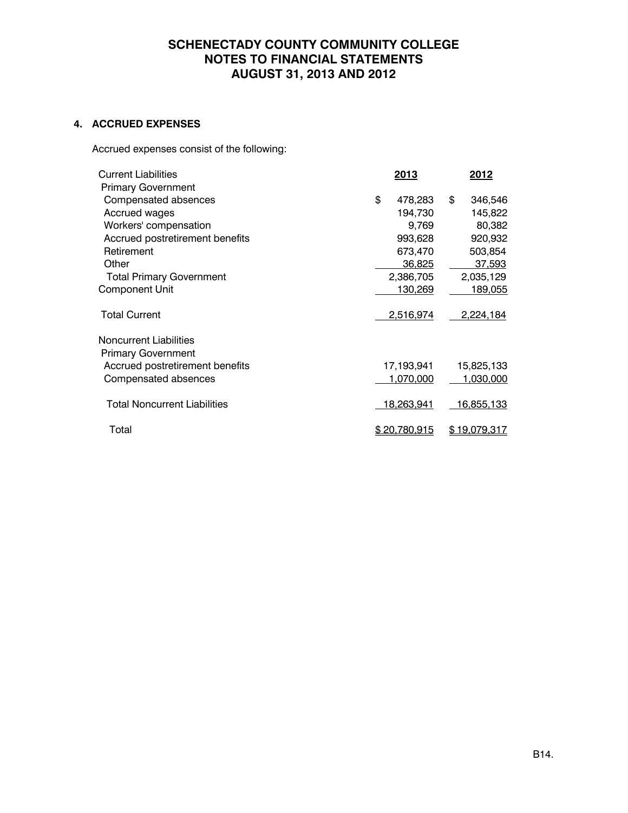## **4. ACCRUED EXPENSES**

Accrued expenses consist of the following:

| <b>Current Liabilities</b>          | 2013          | 2012                |
|-------------------------------------|---------------|---------------------|
| <b>Primary Government</b>           |               |                     |
| Compensated absences                | \$<br>478,283 | \$<br>346,546       |
| Accrued wages                       | 194,730       | 145,822             |
| Workers' compensation               | 9,769         | 80,382              |
| Accrued postretirement benefits     | 993,628       | 920,932             |
| Retirement                          | 673,470       | 503,854             |
| Other                               | <u>36,825</u> | <u>37,593</u>       |
| <b>Total Primary Government</b>     | 2,386,705     | 2,035,129           |
| <b>Component Unit</b>               | 130,269       | 189,055             |
| <b>Total Current</b>                | 2,516,974     | 2,224,184           |
| <b>Noncurrent Liabilities</b>       |               |                     |
| <b>Primary Government</b>           |               |                     |
| Accrued postretirement benefits     | 17,193,941    | 15,825,133          |
| Compensated absences                | 1,070,000     | 1,030,000           |
| <b>Total Noncurrent Liabilities</b> | 18,263,941    | 16,855,133          |
| Total                               | \$20,780,915  | <u>\$19,079,317</u> |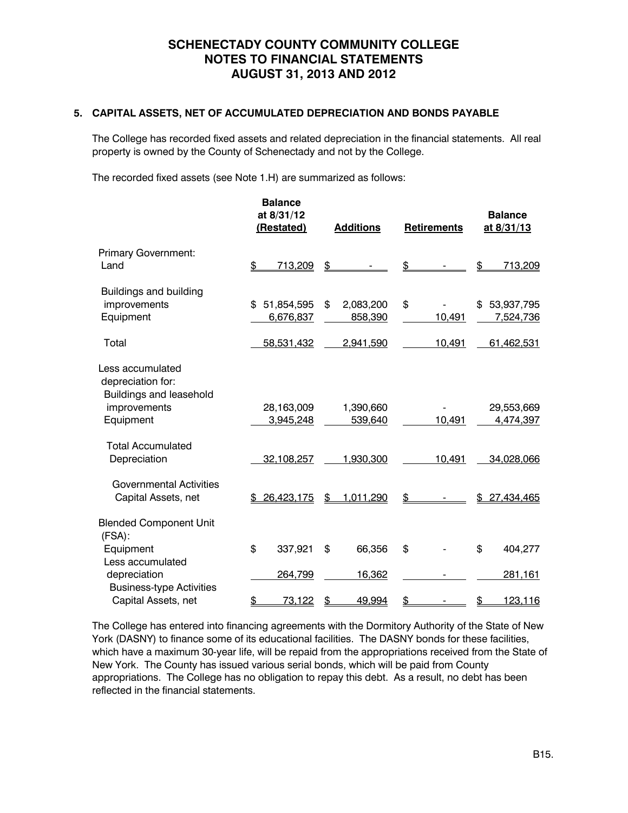### **5. CAPITAL ASSETS, NET OF ACCUMULATED DEPRECIATION AND BONDS PAYABLE**

The College has recorded fixed assets and related depreciation in the financial statements. All real property is owned by the County of Schenectady and not by the College.

The recorded fixed assets (see Note 1.H) are summarized as follows:

| at 8/31/12<br>(Restated) | <b>Additions</b>                        | <b>Retirements</b>  | <b>Balance</b><br>at 8/31/13 |
|--------------------------|-----------------------------------------|---------------------|------------------------------|
|                          |                                         |                     |                              |
| $\frac{2}{3}$<br>713,209 | $\frac{6}{5}$                           | \$                  | 713,209<br>\$                |
|                          |                                         |                     |                              |
| 51,854,595<br>\$         | \$<br>2,083,200                         | \$                  | 53,937,795<br>\$             |
| 6,676,837                | 858,390                                 | 10,491              | 7,524,736                    |
| 58,531,432               | 2,941,590                               | 10,491              | 61,462,531                   |
|                          |                                         |                     |                              |
|                          |                                         |                     | 29,553,669                   |
| 3,945,248                | 539,640                                 | 10,491              | 4,474,397                    |
|                          |                                         |                     |                              |
| 32,108,257               | 1,930,300                               | 10,491              | 34,028,066                   |
|                          |                                         |                     |                              |
| \$26,423,175             | 1,011,290<br>\$                         | \$                  | \$ 27,434,465                |
|                          |                                         |                     |                              |
| \$<br>337,921            | 66,356<br>\$                            | \$                  | \$<br>404,277                |
|                          |                                         |                     | 281,161                      |
|                          |                                         |                     |                              |
| \$<br>73,122             | 49,994<br>\$                            | \$                  | 123,116<br>\$                |
|                          | <b>Balance</b><br>28,163,009<br>264,799 | 1,390,660<br>16,362 |                              |

The College has entered into financing agreements with the Dormitory Authority of the State of New York (DASNY) to finance some of its educational facilities. The DASNY bonds for these facilities, which have a maximum 30-year life, will be repaid from the appropriations received from the State of New York. The County has issued various serial bonds, which will be paid from County appropriations. The College has no obligation to repay this debt. As a result, no debt has been reflected in the financial statements.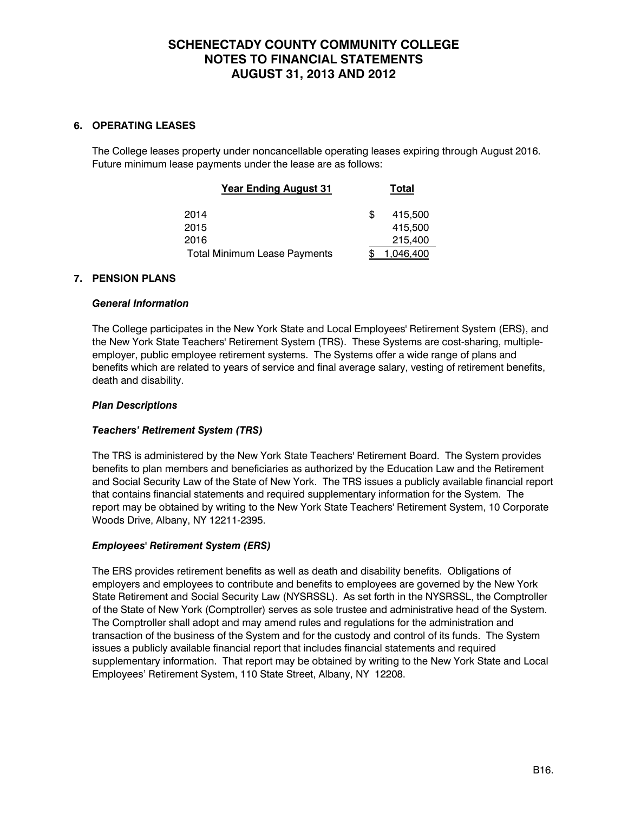### **6. OPERATING LEASES**

 The College leases property under noncancellable operating leases expiring through August 2016. Future minimum lease payments under the lease are as follows:

| <b>Year Ending August 31</b>        |    | Total     |  |  |
|-------------------------------------|----|-----------|--|--|
| 2014                                | \$ | 415,500   |  |  |
| 2015                                |    | 415,500   |  |  |
| 2016                                |    | 215,400   |  |  |
| <b>Total Minimum Lease Payments</b> |    | 1.046.400 |  |  |

### **7. PENSION PLANS**

### *General Information*

The College participates in the New York State and Local Employees' Retirement System (ERS), and the New York State Teachers' Retirement System (TRS). These Systems are cost-sharing, multipleemployer, public employee retirement systems. The Systems offer a wide range of plans and benefits which are related to years of service and final average salary, vesting of retirement benefits, death and disability.

### *Plan Descriptions*

#### *Teachers' Retirement System (TRS)*

The TRS is administered by the New York State Teachers' Retirement Board. The System provides benefits to plan members and beneficiaries as authorized by the Education Law and the Retirement and Social Security Law of the State of New York. The TRS issues a publicly available financial report that contains financial statements and required supplementary information for the System. The report may be obtained by writing to the New York State Teachers' Retirement System, 10 Corporate Woods Drive, Albany, NY 12211-2395.

## *Employees' Retirement System (ERS)*

The ERS provides retirement benefits as well as death and disability benefits. Obligations of employers and employees to contribute and benefits to employees are governed by the New York State Retirement and Social Security Law (NYSRSSL). As set forth in the NYSRSSL, the Comptroller of the State of New York (Comptroller) serves as sole trustee and administrative head of the System. The Comptroller shall adopt and may amend rules and regulations for the administration and transaction of the business of the System and for the custody and control of its funds. The System issues a publicly available financial report that includes financial statements and required supplementary information. That report may be obtained by writing to the New York State and Local Employees' Retirement System, 110 State Street, Albany, NY 12208.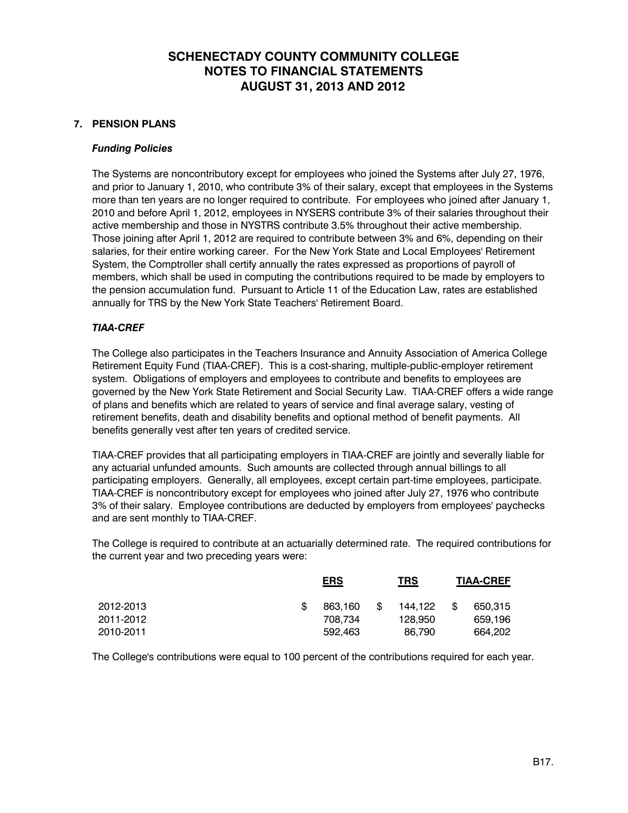## **7. PENSION PLANS**

### *Funding Policies*

The Systems are noncontributory except for employees who joined the Systems after July 27, 1976, and prior to January 1, 2010, who contribute 3% of their salary, except that employees in the Systems more than ten years are no longer required to contribute. For employees who joined after January 1, 2010 and before April 1, 2012, employees in NYSERS contribute 3% of their salaries throughout their active membership and those in NYSTRS contribute 3.5% throughout their active membership. Those joining after April 1, 2012 are required to contribute between 3% and 6%, depending on their salaries, for their entire working career. For the New York State and Local Employees' Retirement System, the Comptroller shall certify annually the rates expressed as proportions of payroll of members, which shall be used in computing the contributions required to be made by employers to the pension accumulation fund. Pursuant to Article 11 of the Education Law, rates are established annually for TRS by the New York State Teachers' Retirement Board.

## *TIAA-CREF*

The College also participates in the Teachers Insurance and Annuity Association of America College Retirement Equity Fund (TIAA-CREF). This is a cost-sharing, multiple-public-employer retirement system. Obligations of employers and employees to contribute and benefits to employees are governed by the New York State Retirement and Social Security Law. TIAA-CREF offers a wide range of plans and benefits which are related to years of service and final average salary, vesting of retirement benefits, death and disability benefits and optional method of benefit payments. All benefits generally vest after ten years of credited service.

TIAA-CREF provides that all participating employers in TIAA-CREF are jointly and severally liable for any actuarial unfunded amounts. Such amounts are collected through annual billings to all participating employers. Generally, all employees, except certain part-time employees, participate. TIAA-CREF is noncontributory except for employees who joined after July 27, 1976 who contribute 3% of their salary. Employee contributions are deducted by employers from employees' paychecks and are sent monthly to TIAA-CREF.

The College is required to contribute at an actuarially determined rate. The required contributions for the current year and two preceding years were:

|           | <b>ERS</b> |     |         | <b>TIAA-CREF</b> |         |
|-----------|------------|-----|---------|------------------|---------|
| 2012-2013 | 863.160    | \$. | 144.122 | \$.              | 650.315 |
| 2011-2012 | 708.734    |     | 128,950 |                  | 659.196 |
| 2010-2011 | 592,463    |     | 86.790  |                  | 664.202 |

The College's contributions were equal to 100 percent of the contributions required for each year.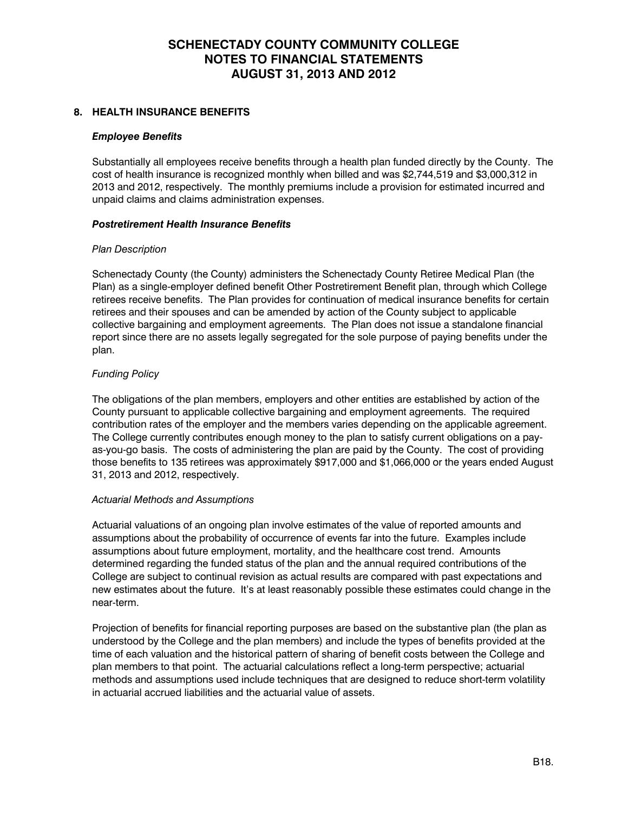#### **8. HEALTH INSURANCE BENEFITS**

#### *Employee Benefits*

Substantially all employees receive benefits through a health plan funded directly by the County. The cost of health insurance is recognized monthly when billed and was \$2,744,519 and \$3,000,312 in 2013 and 2012, respectively. The monthly premiums include a provision for estimated incurred and unpaid claims and claims administration expenses.

#### *Postretirement Health Insurance Benefits*

#### *Plan Description*

Schenectady County (the County) administers the Schenectady County Retiree Medical Plan (the Plan) as a single-employer defined benefit Other Postretirement Benefit plan, through which College retirees receive benefits. The Plan provides for continuation of medical insurance benefits for certain retirees and their spouses and can be amended by action of the County subject to applicable collective bargaining and employment agreements. The Plan does not issue a standalone financial report since there are no assets legally segregated for the sole purpose of paying benefits under the plan.

### *Funding Policy*

The obligations of the plan members, employers and other entities are established by action of the County pursuant to applicable collective bargaining and employment agreements. The required contribution rates of the employer and the members varies depending on the applicable agreement. The College currently contributes enough money to the plan to satisfy current obligations on a payas-you-go basis. The costs of administering the plan are paid by the County. The cost of providing those benefits to 135 retirees was approximately \$917,000 and \$1,066,000 or the years ended August 31, 2013 and 2012, respectively.

#### *Actuarial Methods and Assumptions*

Actuarial valuations of an ongoing plan involve estimates of the value of reported amounts and assumptions about the probability of occurrence of events far into the future. Examples include assumptions about future employment, mortality, and the healthcare cost trend. Amounts determined regarding the funded status of the plan and the annual required contributions of the College are subject to continual revision as actual results are compared with past expectations and new estimates about the future. It's at least reasonably possible these estimates could change in the near-term.

Projection of benefits for financial reporting purposes are based on the substantive plan (the plan as understood by the College and the plan members) and include the types of benefits provided at the time of each valuation and the historical pattern of sharing of benefit costs between the College and plan members to that point. The actuarial calculations reflect a long-term perspective; actuarial methods and assumptions used include techniques that are designed to reduce short-term volatility in actuarial accrued liabilities and the actuarial value of assets.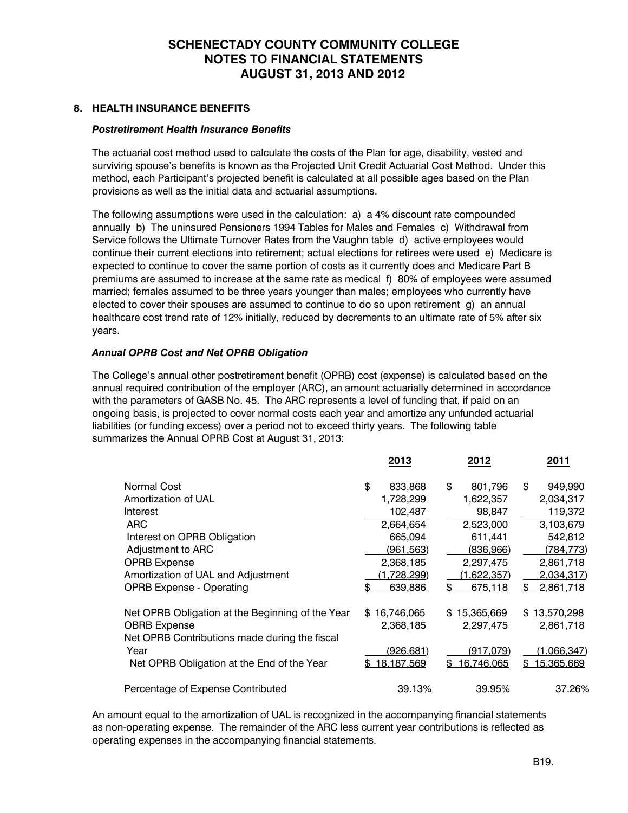### **8. HEALTH INSURANCE BENEFITS**

#### *Postretirement Health Insurance Benefits*

The actuarial cost method used to calculate the costs of the Plan for age, disability, vested and surviving spouse's benefits is known as the Projected Unit Credit Actuarial Cost Method. Under this method, each Participant's projected benefit is calculated at all possible ages based on the Plan provisions as well as the initial data and actuarial assumptions.

The following assumptions were used in the calculation: a) a 4% discount rate compounded annually b) The uninsured Pensioners 1994 Tables for Males and Females c) Withdrawal from Service follows the Ultimate Turnover Rates from the Vaughn table d) active employees would continue their current elections into retirement; actual elections for retirees were used e) Medicare is expected to continue to cover the same portion of costs as it currently does and Medicare Part B premiums are assumed to increase at the same rate as medical f) 80% of employees were assumed married; females assumed to be three years younger than males; employees who currently have elected to cover their spouses are assumed to continue to do so upon retirement g) an annual healthcare cost trend rate of 12% initially, reduced by decrements to an ultimate rate of 5% after six years.

### *Annual OPRB Cost and Net OPRB Obligation*

The College's annual other postretirement benefit (OPRB) cost (expense) is calculated based on the annual required contribution of the employer (ARC), an amount actuarially determined in accordance with the parameters of GASB No. 45. The ARC represents a level of funding that, if paid on an ongoing basis, is projected to cover normal costs each year and amortize any unfunded actuarial liabilities (or funding excess) over a period not to exceed thirty years. The following table summarizes the Annual OPRB Cost at August 31, 2013:

|                                                                      | 2013              | 2012          | <u> 2011</u>     |
|----------------------------------------------------------------------|-------------------|---------------|------------------|
| Normal Cost                                                          | \$<br>833,868     | \$<br>801,796 | \$<br>949,990    |
| Amortization of UAL                                                  | 1,728,299         | 1,622,357     | 2,034,317        |
| Interest                                                             | 102,487           | 98,847        | 119,372          |
| <b>ARC</b>                                                           | 2,664,654         | 2,523,000     | 3,103,679        |
| Interest on OPRB Obligation                                          | 665,094           | 611,441       | 542,812          |
| Adjustment to ARC                                                    | (961,563)         | (836,966)     | (784,773)        |
| <b>OPRB Expense</b>                                                  | 2,368,185         | 2,297,475     | 2,861,718        |
| Amortization of UAL and Adjustment                                   | (1,728,299)       | (1,622,357)   | 2,034,317)       |
| <b>OPRB Expense - Operating</b>                                      | 639,886           | 675,118<br>\$ | 2,861,718<br>\$  |
| Net OPRB Obligation at the Beginning of the Year                     | 16,746,065<br>\$. | \$15,365,669  | \$13,570,298     |
| <b>OBRB Expense</b><br>Net OPRB Contributions made during the fiscal | 2,368,185         | 2,297,475     | 2,861,718        |
| Year                                                                 | <u>(926,681)</u>  | (917,079)     | (1,066,347)      |
| Net OPRB Obligation at the End of the Year                           | 18,187,569<br>S   | \$16,746,065  | 15,365,669<br>\$ |
| Percentage of Expense Contributed                                    | 39.13%            | 39.95%        | 37.26%           |

An amount equal to the amortization of UAL is recognized in the accompanying financial statements as non-operating expense. The remainder of the ARC less current year contributions is reflected as operating expenses in the accompanying financial statements.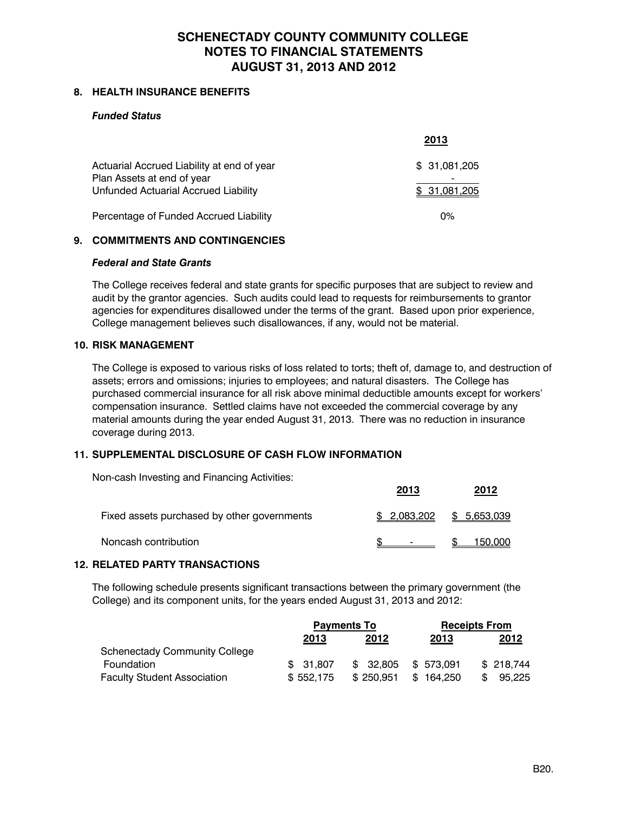### **8. HEALTH INSURANCE BENEFITS**

#### *Funded Status*

|                                            | 2013         |
|--------------------------------------------|--------------|
| Actuarial Accrued Liability at end of year | \$31,081,205 |
| Plan Assets at end of year                 |              |
| Unfunded Actuarial Accrued Liability       | \$31,081,205 |
| Percentage of Funded Accrued Liability     | 0%           |

### **9. COMMITMENTS AND CONTINGENCIES**

#### *Federal and State Grants*

The College receives federal and state grants for specific purposes that are subject to review and audit by the grantor agencies. Such audits could lead to requests for reimbursements to grantor agencies for expenditures disallowed under the terms of the grant. Based upon prior experience, College management believes such disallowances, if any, would not be material.

#### **10. RISK MANAGEMENT**

The College is exposed to various risks of loss related to torts; theft of, damage to, and destruction of assets; errors and omissions; injuries to employees; and natural disasters. The College has purchased commercial insurance for all risk above minimal deductible amounts except for workers' compensation insurance. Settled claims have not exceeded the commercial coverage by any material amounts during the year ended August 31, 2013. There was no reduction in insurance coverage during 2013.

## **11. SUPPLEMENTAL DISCLOSURE OF CASH FLOW INFORMATION**

Non-cash Investing and Financing Activities:

|                                             | 2013              | 2012         |
|---------------------------------------------|-------------------|--------------|
| Fixed assets purchased by other governments | \$ 2,083,202      | \$ 5,653,039 |
| Noncash contribution                        | $\sim$ 100 $\sim$ | 150,000      |

## **12. RELATED PARTY TRANSACTIONS**

The following schedule presents significant transactions between the primary government (the College) and its component units, for the years ended August 31, 2013 and 2012:

|                                      | <b>Payments To</b> |           | <b>Receipts From</b> |              |
|--------------------------------------|--------------------|-----------|----------------------|--------------|
|                                      | 2013               | 2012      | 2013                 | 2012         |
| <b>Schenectady Community College</b> |                    |           |                      |              |
| Foundation                           | \$31.807           | \$32.805  | \$573.091            | \$218.744    |
| <b>Faculty Student Association</b>   | \$552,175          | \$250.951 | \$164.250            | 95.225<br>\$ |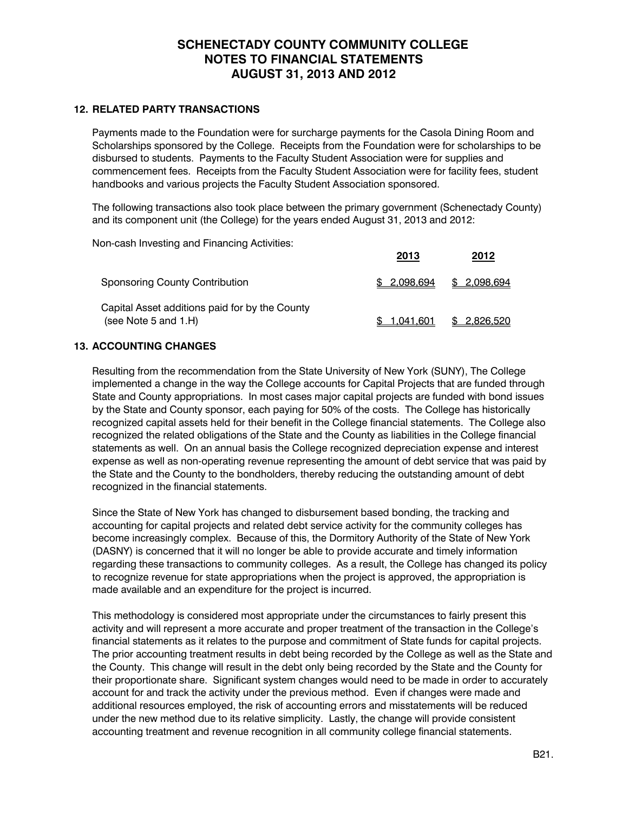### **12. RELATED PARTY TRANSACTIONS**

Payments made to the Foundation were for surcharge payments for the Casola Dining Room and Scholarships sponsored by the College. Receipts from the Foundation were for scholarships to be disbursed to students. Payments to the Faculty Student Association were for supplies and commencement fees. Receipts from the Faculty Student Association were for facility fees, student handbooks and various projects the Faculty Student Association sponsored.

The following transactions also took place between the primary government (Schenectady County) and its component unit (the College) for the years ended August 31, 2013 and 2012:

Non-cash Investing and Financing Activities:

|                                                                        | 2013             | 2012         |
|------------------------------------------------------------------------|------------------|--------------|
| <b>Sponsoring County Contribution</b>                                  | 2,098,694<br>\$. | \$ 2,098,694 |
| Capital Asset additions paid for by the County<br>(see Note 5 and 1.H) | 1.041.601        | \$ 2,826,520 |

## **13. ACCOUNTING CHANGES**

Resulting from the recommendation from the State University of New York (SUNY), The College implemented a change in the way the College accounts for Capital Projects that are funded through State and County appropriations. In most cases major capital projects are funded with bond issues by the State and County sponsor, each paying for 50% of the costs. The College has historically recognized capital assets held for their benefit in the College financial statements. The College also recognized the related obligations of the State and the County as liabilities in the College financial statements as well. On an annual basis the College recognized depreciation expense and interest expense as well as non-operating revenue representing the amount of debt service that was paid by the State and the County to the bondholders, thereby reducing the outstanding amount of debt recognized in the financial statements.

Since the State of New York has changed to disbursement based bonding, the tracking and accounting for capital projects and related debt service activity for the community colleges has become increasingly complex. Because of this, the Dormitory Authority of the State of New York (DASNY) is concerned that it will no longer be able to provide accurate and timely information regarding these transactions to community colleges. As a result, the College has changed its policy to recognize revenue for state appropriations when the project is approved, the appropriation is made available and an expenditure for the project is incurred.

This methodology is considered most appropriate under the circumstances to fairly present this activity and will represent a more accurate and proper treatment of the transaction in the College's financial statements as it relates to the purpose and commitment of State funds for capital projects. The prior accounting treatment results in debt being recorded by the College as well as the State and the County. This change will result in the debt only being recorded by the State and the County for their proportionate share. Significant system changes would need to be made in order to accurately account for and track the activity under the previous method. Even if changes were made and additional resources employed, the risk of accounting errors and misstatements will be reduced under the new method due to its relative simplicity. Lastly, the change will provide consistent accounting treatment and revenue recognition in all community college financial statements.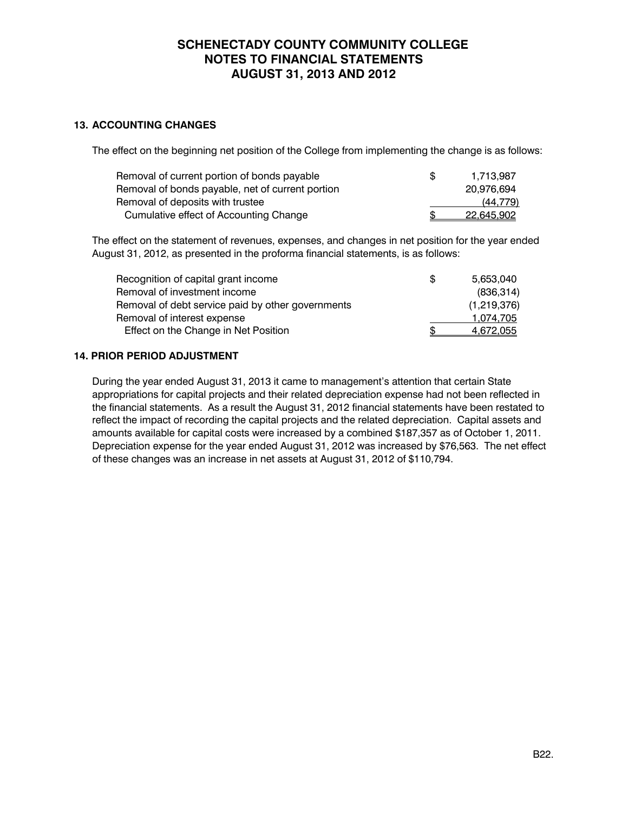### **13. ACCOUNTING CHANGES**

The effect on the beginning net position of the College from implementing the change is as follows:

| Removal of current portion of bonds payable      | 1.713.987  |
|--------------------------------------------------|------------|
| Removal of bonds payable, net of current portion | 20.976.694 |
| Removal of deposits with trustee                 | (44.779)   |
| Cumulative effect of Accounting Change           | 22.645.902 |

The effect on the statement of revenues, expenses, and changes in net position for the year ended August 31, 2012, as presented in the proforma financial statements, is as follows:

| Recognition of capital grant income               | S | 5.653.040   |
|---------------------------------------------------|---|-------------|
| Removal of investment income                      |   | (836, 314)  |
| Removal of debt service paid by other governments |   | (1,219,376) |
| Removal of interest expense                       |   | 1.074.705   |
| Effect on the Change in Net Position              |   | 4,672,055   |
|                                                   |   |             |

### **14. PRIOR PERIOD ADJUSTMENT**

During the year ended August 31, 2013 it came to management's attention that certain State appropriations for capital projects and their related depreciation expense had not been reflected in the financial statements. As a result the August 31, 2012 financial statements have been restated to reflect the impact of recording the capital projects and the related depreciation. Capital assets and amounts available for capital costs were increased by a combined \$187,357 as of October 1, 2011. Depreciation expense for the year ended August 31, 2012 was increased by \$76,563. The net effect of these changes was an increase in net assets at August 31, 2012 of \$110,794.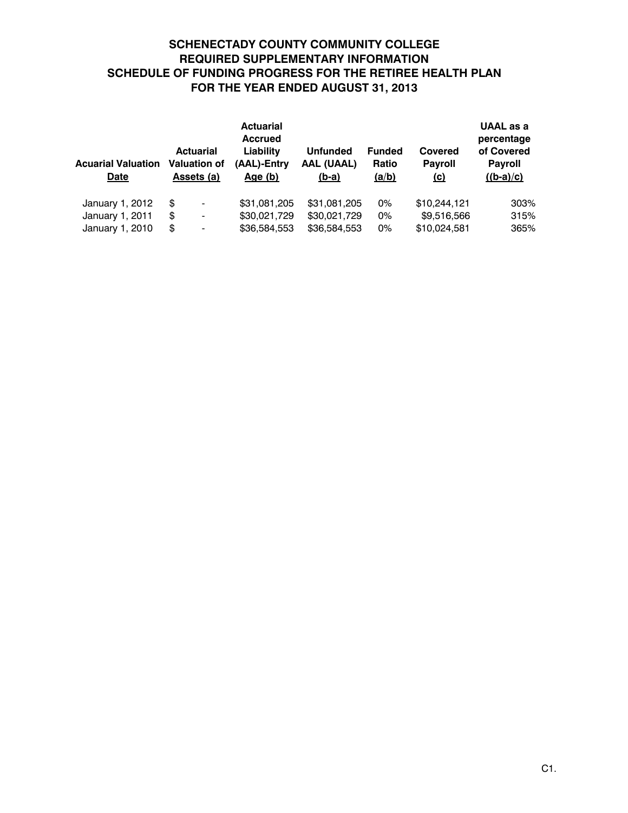## **SCHENECTADY COUNTY COMMUNITY COLLEGE REQUIRED SUPPLEMENTARY INFORMATION SCHEDULE OF FUNDING PROGRESS FOR THE RETIREE HEALTH PLAN FOR THE YEAR ENDED AUGUST 31, 2013**

| <b>Acuarial Valuation</b><br>Date | <b>Actuarial</b><br><b>Valuation of</b><br>Assets (a) |                          | <b>Actuarial</b><br><b>Accrued</b><br>Liability<br>(AAL)-Entry<br><u>Age (b)</u> | <b>Unfunded</b><br>AAL (UAAL)<br>$(b-a)$ | <b>Funded</b><br>Ratio<br><u>(a/b)</u> | Covered<br><b>Payroll</b><br><u>(c)</u> | UAAL as a<br>percentage<br>of Covered<br><b>Pavroll</b><br>$((b-a)/c)$ |
|-----------------------------------|-------------------------------------------------------|--------------------------|----------------------------------------------------------------------------------|------------------------------------------|----------------------------------------|-----------------------------------------|------------------------------------------------------------------------|
| January 1, 2012                   | \$                                                    | ۰                        | \$31,081,205                                                                     | \$31,081,205                             | $0\%$                                  | \$10,244,121                            | 303%                                                                   |
| January 1, 2011                   | \$                                                    | $\overline{\phantom{a}}$ | \$30,021,729                                                                     | \$30,021,729                             | $0\%$                                  | \$9,516,566                             | 315%                                                                   |
| January 1, 2010                   | \$                                                    | ۰                        | \$36,584,553                                                                     | \$36,584,553                             | 0%                                     | \$10,024.581                            | 365%                                                                   |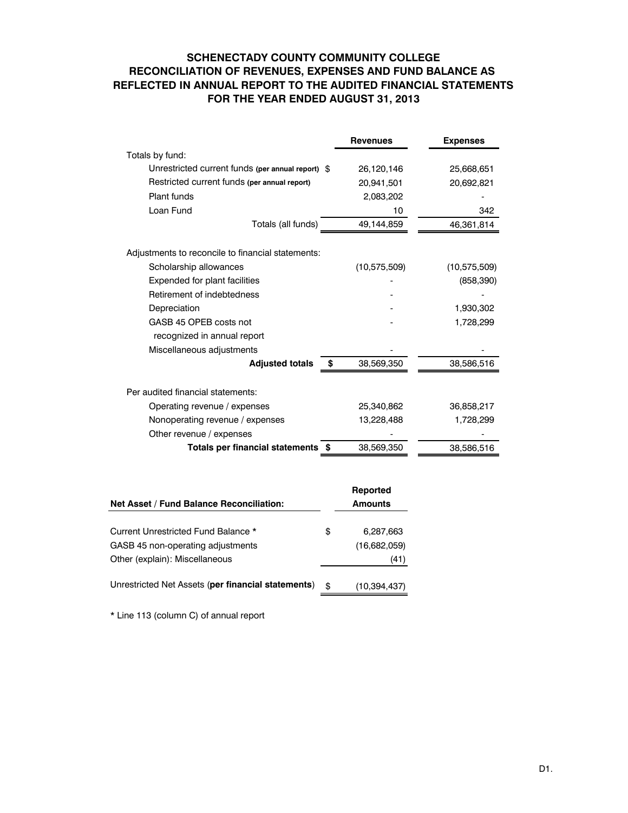## **SCHENECTADY COUNTY COMMUNITY COLLEGE RECONCILIATION OF REVENUES, EXPENSES AND FUND BALANCE AS REFLECTED IN ANNUAL REPORT TO THE AUDITED FINANCIAL STATEMENTS FOR THE YEAR ENDED AUGUST 31, 2013**

|                                                   | <b>Revenues</b>  | <b>Expenses</b> |
|---------------------------------------------------|------------------|-----------------|
| Totals by fund:                                   |                  |                 |
| Unrestricted current funds (per annual report) \$ | 26,120,146       | 25,668,651      |
| Restricted current funds (per annual report)      | 20,941,501       | 20,692,821      |
| Plant funds                                       | 2,083,202        |                 |
| Loan Fund                                         | 10               | 342             |
| Totals (all funds)                                | 49,144,859       | 46,361,814      |
| Adjustments to reconcile to financial statements: |                  |                 |
| Scholarship allowances                            | (10, 575, 509)   | (10, 575, 509)  |
| <b>Expended for plant facilities</b>              |                  | (858, 390)      |
| Retirement of indebtedness                        |                  |                 |
| Depreciation                                      |                  | 1,930,302       |
| GASB 45 OPEB costs not                            |                  | 1,728,299       |
| recognized in annual report                       |                  |                 |
| Miscellaneous adjustments                         |                  |                 |
| <b>Adjusted totals</b>                            | \$<br>38,569,350 | 38,586,516      |
| Per audited financial statements:                 |                  |                 |
| Operating revenue / expenses                      | 25,340,862       | 36,858,217      |
| Nonoperating revenue / expenses                   | 13,228,488       | 1,728,299       |
| Other revenue / expenses                          |                  |                 |
| Totals per financial statements \$                | 38,569,350       | 38,586,516      |
|                                                   |                  |                 |

| Net Asset / Fund Balance Reconciliation:           | <b>Reported</b><br>Amounts |  |  |
|----------------------------------------------------|----------------------------|--|--|
| Current Unrestricted Fund Balance *                | \$<br>6.287.663            |  |  |
| GASB 45 non-operating adjustments                  | (16,682,059)               |  |  |
| Other (explain): Miscellaneous                     | (41)                       |  |  |
| Unrestricted Net Assets (per financial statements) | \$<br>(10, 394, 437)       |  |  |

\* Line 113 (column C) of annual report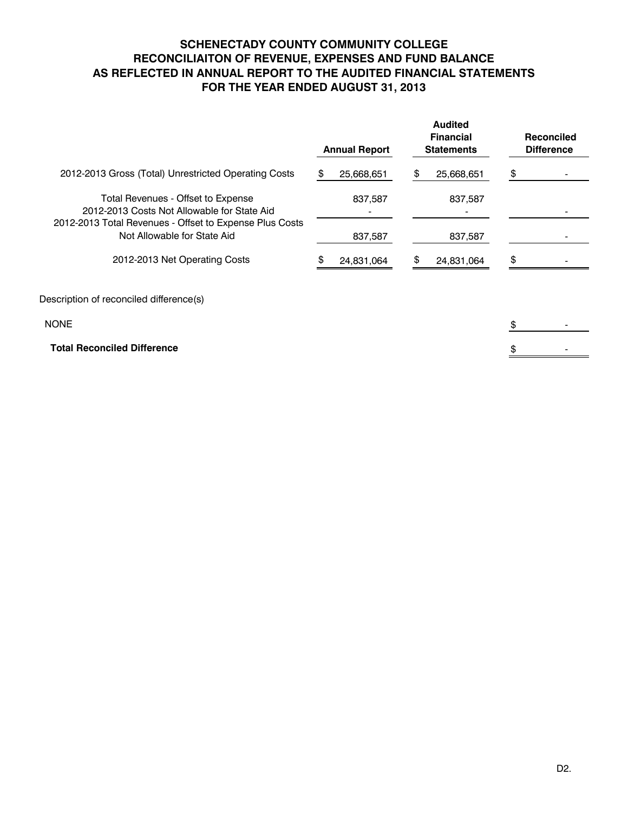## **SCHENECTADY COUNTY COMMUNITY COLLEGE RECONCILIAITON OF REVENUE, EXPENSES AND FUND BALANCE AS REFLECTED IN ANNUAL REPORT TO THE AUDITED FINANCIAL STATEMENTS FOR THE YEAR ENDED AUGUST 31, 2013**

|                                                                                                                                              | <b>Annual Report</b> |    | <b>Audited</b><br><b>Financial</b><br><b>Statements</b> |    | <b>Reconciled</b><br><b>Difference</b> |
|----------------------------------------------------------------------------------------------------------------------------------------------|----------------------|----|---------------------------------------------------------|----|----------------------------------------|
| 2012-2013 Gross (Total) Unrestricted Operating Costs                                                                                         | \$<br>25,668,651     | S  | 25,668,651                                              | \$ |                                        |
| Total Revenues - Offset to Expense<br>2012-2013 Costs Not Allowable for State Aid<br>2012-2013 Total Revenues - Offset to Expense Plus Costs | 837,587              |    | 837,587                                                 |    |                                        |
| Not Allowable for State Aid                                                                                                                  | 837,587              |    | 837,587                                                 |    |                                        |
| 2012-2013 Net Operating Costs                                                                                                                | 24,831,064           | \$ | 24,831,064                                              | \$ |                                        |
| Description of reconciled difference(s)                                                                                                      |                      |    |                                                         |    |                                        |
| <b>NONE</b>                                                                                                                                  |                      |    |                                                         | \$ |                                        |
| <b>Total Reconciled Difference</b>                                                                                                           |                      |    |                                                         |    |                                        |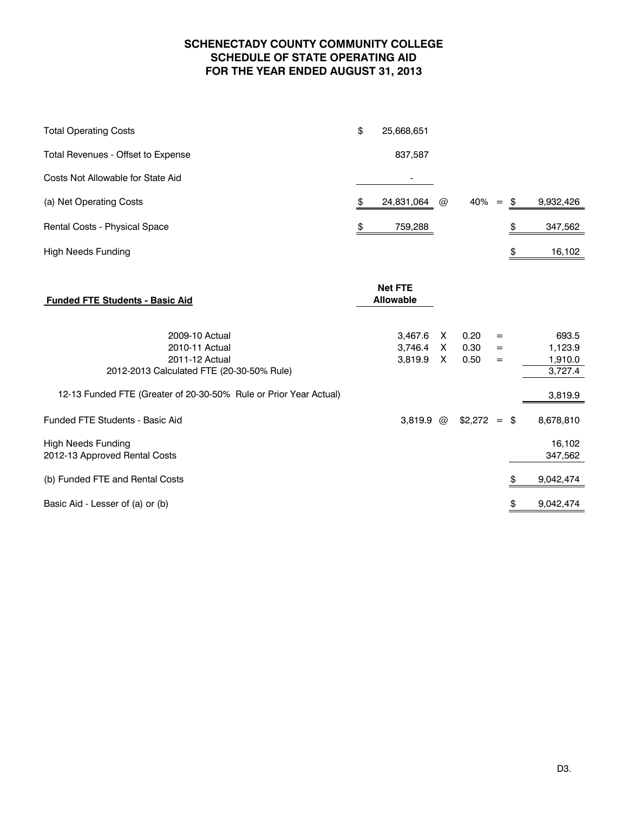## **SCHENECTADY COUNTY COMMUNITY COLLEGE SCHEDULE OF STATE OPERATING AID FOR THE YEAR ENDED AUGUST 31, 2013**

| <b>Total Operating Costs</b>                                                                    | \$<br>25,668,651                   |                      |                      |                   |      |                                        |
|-------------------------------------------------------------------------------------------------|------------------------------------|----------------------|----------------------|-------------------|------|----------------------------------------|
| Total Revenues - Offset to Expense                                                              | 837,587                            |                      |                      |                   |      |                                        |
| Costs Not Allowable for State Aid                                                               |                                    |                      |                      |                   |      |                                        |
| (a) Net Operating Costs                                                                         | \$<br>24,831,064                   | $^{\circ}$           | 40%                  | $=$               | \$   | 9,932,426                              |
| Rental Costs - Physical Space                                                                   | \$<br>759,288                      |                      |                      |                   | \$   | 347,562                                |
| <b>High Needs Funding</b>                                                                       |                                    |                      |                      |                   | \$   | 16,102                                 |
| <b>Funded FTE Students - Basic Aid</b>                                                          | <b>Net FTE</b><br><b>Allowable</b> |                      |                      |                   |      |                                        |
| 2009-10 Actual<br>2010-11 Actual<br>2011-12 Actual<br>2012-2013 Calculated FTE (20-30-50% Rule) | 3,467.6<br>3,746.4<br>3,819.9      | X<br>X<br>X          | 0.20<br>0.30<br>0.50 | $=$<br>$=$<br>$=$ |      | 693.5<br>1,123.9<br>1,910.0<br>3,727.4 |
| 12-13 Funded FTE (Greater of 20-30-50% Rule or Prior Year Actual)                               |                                    |                      |                      |                   |      | 3,819.9                                |
| Funded FTE Students - Basic Aid                                                                 | 3,819.9                            | $^{\textregistered}$ | \$2,272              | $=$               | - \$ | 8,678,810                              |
| <b>High Needs Funding</b><br>2012-13 Approved Rental Costs                                      |                                    |                      |                      |                   |      | 16,102<br>347,562                      |
| (b) Funded FTE and Rental Costs                                                                 |                                    |                      |                      |                   | S    | 9,042,474                              |
| Basic Aid - Lesser of (a) or (b)                                                                |                                    |                      |                      |                   | \$   | 9,042,474                              |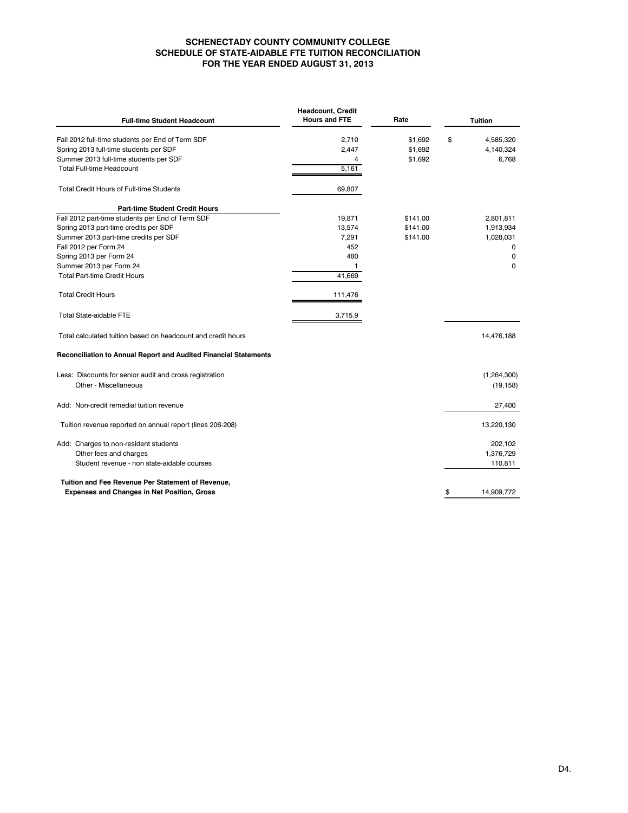#### **SCHENECTADY COUNTY COMMUNITY COLLEGE SCHEDULE OF STATE-AIDABLE FTE TUITION RECONCILIATION FOR THE YEAR ENDED AUGUST 31, 2013**

| <b>Full-time Student Headcount</b>                               | <b>Headcount, Credit</b><br><b>Hours and FTE</b> | Rate     | Tuition          |
|------------------------------------------------------------------|--------------------------------------------------|----------|------------------|
| Fall 2012 full-time students per End of Term SDF                 | 2,710                                            | \$1,692  | \$<br>4,585,320  |
| Spring 2013 full-time students per SDF                           | 2,447                                            | \$1,692  | 4,140,324        |
| Summer 2013 full-time students per SDF                           | 4                                                | \$1,692  | 6,768            |
| <b>Total Full-time Headcount</b>                                 | 5,161                                            |          |                  |
| <b>Total Credit Hours of Full-time Students</b>                  | 69.807                                           |          |                  |
| <b>Part-time Student Credit Hours</b>                            |                                                  |          |                  |
| Fall 2012 part-time students per End of Term SDF                 | 19,871                                           | \$141.00 | 2,801,811        |
| Spring 2013 part-time credits per SDF                            | 13,574                                           | \$141.00 | 1,913,934        |
| Summer 2013 part-time credits per SDF                            | 7,291                                            | \$141.00 | 1,028,031        |
| Fall 2012 per Form 24                                            | 452                                              |          | 0                |
| Spring 2013 per Form 24                                          | 480                                              |          | 0                |
| Summer 2013 per Form 24                                          | 1                                                |          | $\Omega$         |
| <b>Total Part-time Credit Hours</b>                              | 41.669                                           |          |                  |
| <b>Total Credit Hours</b>                                        | 111,476                                          |          |                  |
| <b>Total State-aidable FTE</b>                                   | 3,715.9                                          |          |                  |
| Total calculated tuition based on headcount and credit hours     |                                                  |          | 14,476,188       |
| Reconciliation to Annual Report and Audited Financial Statements |                                                  |          |                  |
| Less: Discounts for senior audit and cross registration          |                                                  |          | (1,264,300)      |
| Other - Miscellaneous                                            |                                                  |          | (19, 158)        |
| Add: Non-credit remedial tuition revenue                         |                                                  |          | 27,400           |
| Tuition revenue reported on annual report (lines 206-208)        |                                                  |          | 13,220,130       |
| Add: Charges to non-resident students                            |                                                  |          | 202,102          |
| Other fees and charges                                           |                                                  |          | 1,376,729        |
| Student revenue - non state-aidable courses                      |                                                  |          | 110,811          |
| Tuition and Fee Revenue Per Statement of Revenue,                |                                                  |          |                  |
| <b>Expenses and Changes in Net Position, Gross</b>               |                                                  |          | \$<br>14,909,772 |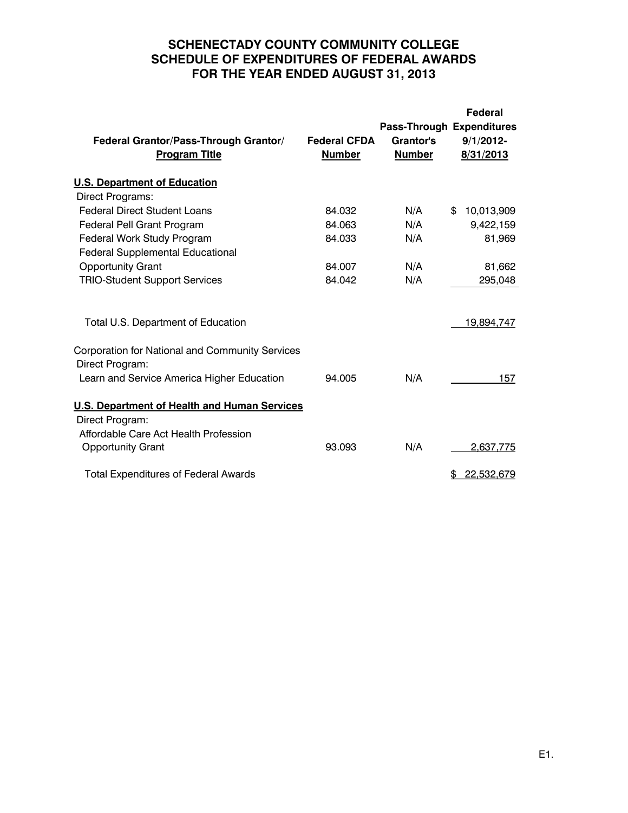# **SCHENECTADY COUNTY COMMUNITY COLLEGE SCHEDULE OF EXPENDITURES OF FEDERAL AWARDS FOR THE YEAR ENDED AUGUST 31, 2013**

| Federal Grantor/Pass-Through Grantor/<br><b>Program Title</b>             | <b>Federal CFDA</b><br><b>Number</b> | Grantor's<br><b>Number</b> | Federal<br><b>Pass-Through Expenditures</b><br>$9/1/2012$ -<br>8/31/2013 |
|---------------------------------------------------------------------------|--------------------------------------|----------------------------|--------------------------------------------------------------------------|
| <b>U.S. Department of Education</b>                                       |                                      |                            |                                                                          |
| Direct Programs:                                                          |                                      |                            |                                                                          |
| <b>Federal Direct Student Loans</b>                                       | 84.032                               | N/A                        | 10,013,909<br>\$                                                         |
| Federal Pell Grant Program                                                | 84.063                               | N/A                        | 9,422,159                                                                |
| Federal Work Study Program                                                | 84.033                               | N/A                        | 81,969                                                                   |
| <b>Federal Supplemental Educational</b>                                   |                                      |                            |                                                                          |
| <b>Opportunity Grant</b>                                                  | 84.007                               | N/A                        | 81,662                                                                   |
| <b>TRIO-Student Support Services</b>                                      | 84.042                               | N/A                        | 295,048                                                                  |
| Total U.S. Department of Education                                        |                                      |                            | 19,894,747                                                               |
| <b>Corporation for National and Community Services</b><br>Direct Program: |                                      |                            |                                                                          |
| Learn and Service America Higher Education                                | 94.005                               | N/A                        | 157                                                                      |
| <b>U.S. Department of Health and Human Services</b>                       |                                      |                            |                                                                          |
| Direct Program:                                                           |                                      |                            |                                                                          |
| Affordable Care Act Health Profession                                     |                                      |                            |                                                                          |
| <b>Opportunity Grant</b>                                                  | 93.093                               | N/A                        | 2,637,775                                                                |
| <b>Total Expenditures of Federal Awards</b>                               |                                      |                            | <u>22,532,679</u><br>\$                                                  |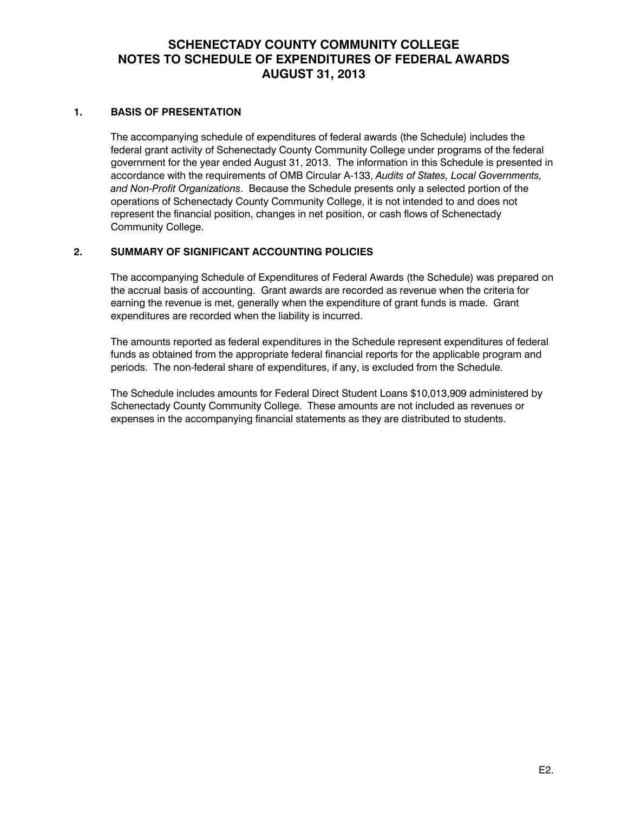## **SCHENECTADY COUNTY COMMUNITY COLLEGE NOTES TO SCHEDULE OF EXPENDITURES OF FEDERAL AWARDS AUGUST 31, 2013**

### **1. BASIS OF PRESENTATION**

The accompanying schedule of expenditures of federal awards (the Schedule) includes the federal grant activity of Schenectady County Community College under programs of the federal government for the year ended August 31, 2013. The information in this Schedule is presented in accordance with the requirements of OMB Circular A-133, *Audits of States, Local Governments, and Non-Profit Organizations*. Because the Schedule presents only a selected portion of the operations of Schenectady County Community College, it is not intended to and does not represent the financial position, changes in net position, or cash flows of Schenectady Community College.

## **2. SUMMARY OF SIGNIFICANT ACCOUNTING POLICIES**

The accompanying Schedule of Expenditures of Federal Awards (the Schedule) was prepared on the accrual basis of accounting. Grant awards are recorded as revenue when the criteria for earning the revenue is met, generally when the expenditure of grant funds is made. Grant expenditures are recorded when the liability is incurred.

The amounts reported as federal expenditures in the Schedule represent expenditures of federal funds as obtained from the appropriate federal financial reports for the applicable program and periods. The non-federal share of expenditures, if any, is excluded from the Schedule.

The Schedule includes amounts for Federal Direct Student Loans \$10,013,909 administered by Schenectady County Community College. These amounts are not included as revenues or expenses in the accompanying financial statements as they are distributed to students.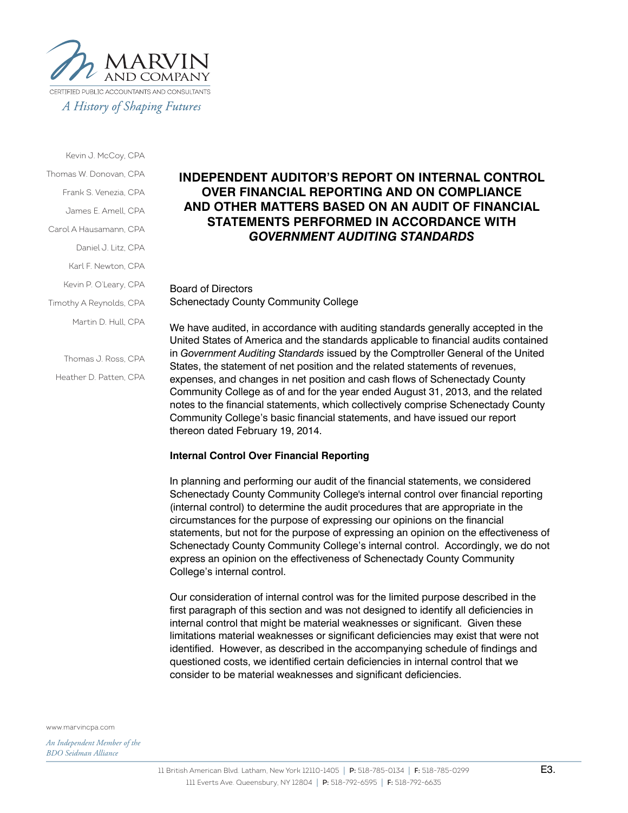

Kevin J. McCoy, CPA Thomas W. Donovan, CPA Frank S. Venezia, CPA James E. Amell, CPA Carol A Hausamann, CPA Daniel J. Litz, CPA Karl F. Newton, CPA

# Kevin P. O'Leary, CPA

Timothy A Reynolds, CPA

Martin D. Hull, CPA

Thomas J. Ross, CPA Heather D. Patten, CPA

# **INDEPENDENT AUDITOR'S REPORT ON INTERNAL CONTROL OVER FINANCIAL REPORTING AND ON COMPLIANCE AND OTHER MATTERS BASED ON AN AUDIT OF FINANCIAL STATEMENTS PERFORMED IN ACCORDANCE WITH**  *GOVERNMENT AUDITING STANDARDS*

Board of Directors Schenectady County Community College

We have audited, in accordance with auditing standards generally accepted in the United States of America and the standards applicable to financial audits contained in *Government Auditing Standards* issued by the Comptroller General of the United States, the statement of net position and the related statements of revenues, expenses, and changes in net position and cash flows of Schenectady County Community College as of and for the year ended August 31, 2013, and the related notes to the financial statements, which collectively comprise Schenectady County Community College's basic financial statements, and have issued our report thereon dated February 19, 2014.

## **Internal Control Over Financial Reporting**

In planning and performing our audit of the financial statements, we considered Schenectady County Community College's internal control over financial reporting (internal control) to determine the audit procedures that are appropriate in the circumstances for the purpose of expressing our opinions on the financial statements, but not for the purpose of expressing an opinion on the effectiveness of Schenectady County Community College's internal control. Accordingly, we do not express an opinion on the effectiveness of Schenectady County Community College's internal control.

Our consideration of internal control was for the limited purpose described in the first paragraph of this section and was not designed to identify all deficiencies in internal control that might be material weaknesses or significant. Given these limitations material weaknesses or significant deficiencies may exist that were not identified. However, as described in the accompanying schedule of findings and questioned costs, we identified certain deficiencies in internal control that we consider to be material weaknesses and significant deficiencies.

www.marvincpa.com

*An Independent Member of the BDO Seidman Alliance*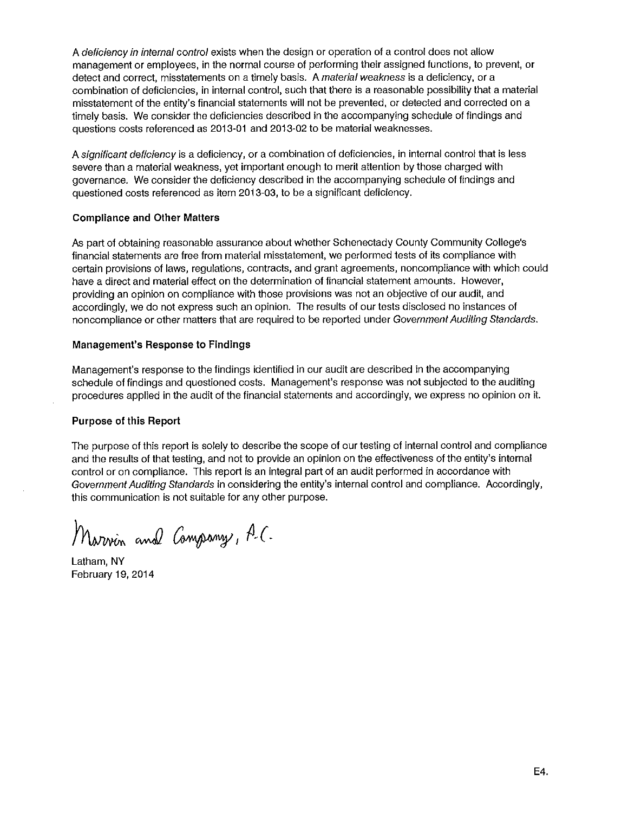A deficiency in internal control exists when the design or operation of a control does not allow management or employees, in the normal course of performing their assigned functions, to prevent, or detect and correct, misstatements on a timely basis. A material weakness is a deficiency, or a combination of deficiencies, in internal control, such that there is a reasonable possibility that a material misstatement of the entity's financial statements will not be prevented, or detected and corrected on a timely basis. We consider the deficiencies described in the accompanying schedule of findings and questions costs referenced as 2013-01 and 2013-02 to be material weaknesses.

A significant deficiency is a deficiency, or a combination of deficiencies, in internal control that is less severe than a material weakness, yet important enough to merit attention by those charged with governance. We consider the deficiency described in the accompanying schedule of findings and questioned costs referenced as item 2013-03, to be a significant deficiency.

## **Compliance and Other Matters**

As part of obtaining reasonable assurance about whether Schenectady County Community College's financial statements are free from material misstatement, we performed tests of its compliance with certain provisions of laws, regulations, contracts, and grant agreements, noncompliance with which could have a direct and material effect on the determination of financial statement amounts. However, providing an opinion on compliance with those provisions was not an objective of our audit, and accordingly, we do not express such an opinion. The results of our tests disclosed no instances of noncompliance or other matters that are required to be reported under Government Auditing Standards.

### **Management's Response to Findings**

Management's response to the findings identified in our audit are described in the accompanying schedule of findings and questioned costs. Management's response was not subjected to the auditing procedures applied in the audit of the financial statements and accordingly, we express no opinion on it.

## **Purpose of this Report**

The purpose of this report is solely to describe the scope of our testing of internal control and compliance and the results of that testing, and not to provide an opinion on the effectiveness of the entity's internal control or on compliance. This report is an integral part of an audit performed in accordance with Government Auditing Standards in considering the entity's internal control and compliance. Accordingly, this communication is not suitable for any other purpose.

Marvin and Company, A.C.

Latham. NY February 19, 2014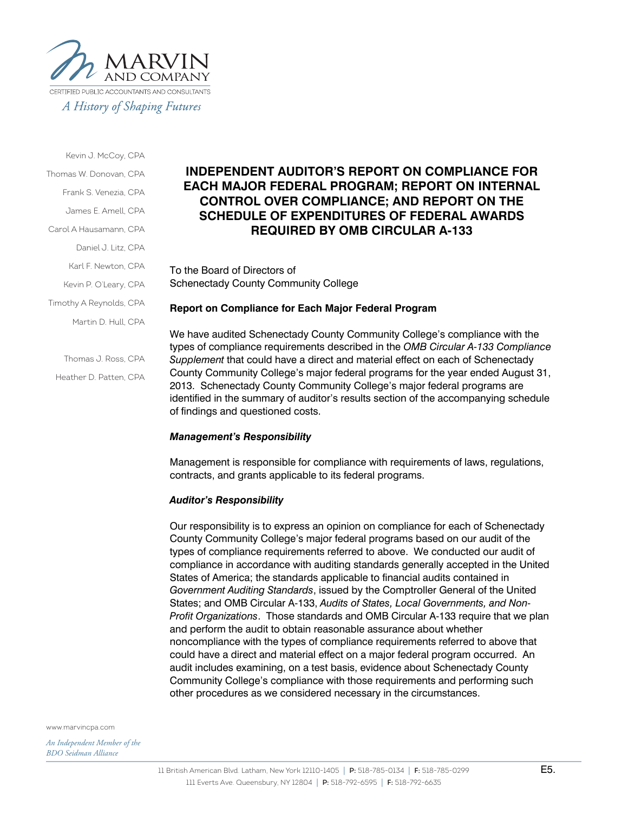

Kevin J. McCoy, CPA Thomas W. Donovan, CPA Frank S. Venezia, CPA James E. Amell, CPA Carol A Hausamann, CPA Daniel J. Litz, CPA Karl F. Newton, CPA Kevin P. O'Leary, CPA Timothy A Reynolds, CPA Martin D. Hull, CPA

Thomas J. Ross, CPA Heather D. Patten, CPA

# **INDEPENDENT AUDITOR'S REPORT ON COMPLIANCE FOR EACH MAJOR FEDERAL PROGRAM; REPORT ON INTERNAL CONTROL OVER COMPLIANCE; AND REPORT ON THE SCHEDULE OF EXPENDITURES OF FEDERAL AWARDS REQUIRED BY OMB CIRCULAR A-133**

To the Board of Directors of Schenectady County Community College

## **Report on Compliance for Each Major Federal Program**

We have audited Schenectady County Community College's compliance with the types of compliance requirements described in the *OMB Circular A-133 Compliance Supplement* that could have a direct and material effect on each of Schenectady County Community College's major federal programs for the year ended August 31, 2013. Schenectady County Community College's major federal programs are identified in the summary of auditor's results section of the accompanying schedule of findings and questioned costs.

## *Management's Responsibility*

Management is responsible for compliance with requirements of laws, regulations, contracts, and grants applicable to its federal programs.

## *Auditor's Responsibility*

Our responsibility is to express an opinion on compliance for each of Schenectady County Community College's major federal programs based on our audit of the types of compliance requirements referred to above. We conducted our audit of compliance in accordance with auditing standards generally accepted in the United States of America; the standards applicable to financial audits contained in *Government Auditing Standards*, issued by the Comptroller General of the United States; and OMB Circular A-133, *Audits of States, Local Governments, and Non-Profit Organizations*. Those standards and OMB Circular A-133 require that we plan and perform the audit to obtain reasonable assurance about whether noncompliance with the types of compliance requirements referred to above that could have a direct and material effect on a major federal program occurred. An audit includes examining, on a test basis, evidence about Schenectady County Community College's compliance with those requirements and performing such other procedures as we considered necessary in the circumstances.

www.marvincpa.com

*An Independent Member of the BDO Seidman Alliance*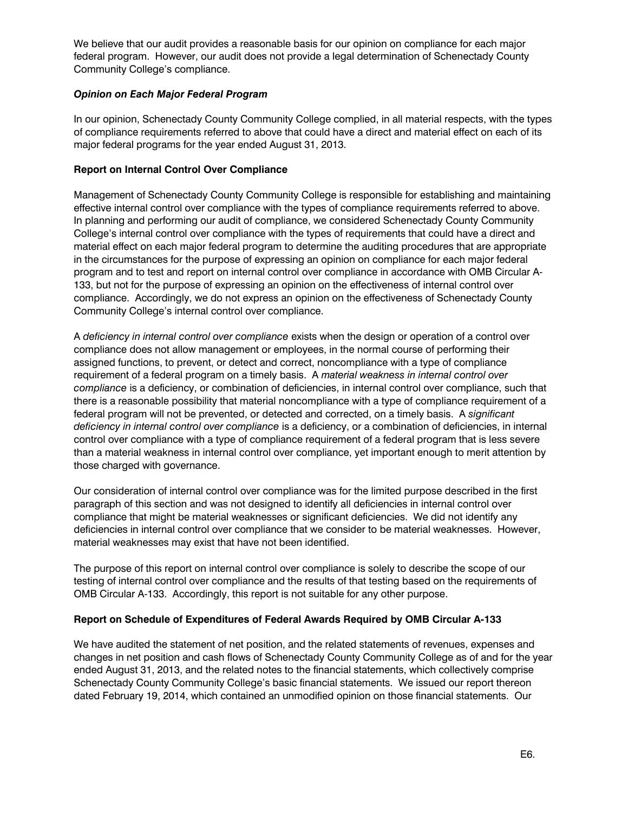We believe that our audit provides a reasonable basis for our opinion on compliance for each major federal program. However, our audit does not provide a legal determination of Schenectady County Community College's compliance.

## *Opinion on Each Major Federal Program*

In our opinion, Schenectady County Community College complied, in all material respects, with the types of compliance requirements referred to above that could have a direct and material effect on each of its major federal programs for the year ended August 31, 2013.

## **Report on Internal Control Over Compliance**

Management of Schenectady County Community College is responsible for establishing and maintaining effective internal control over compliance with the types of compliance requirements referred to above. In planning and performing our audit of compliance, we considered Schenectady County Community College's internal control over compliance with the types of requirements that could have a direct and material effect on each major federal program to determine the auditing procedures that are appropriate in the circumstances for the purpose of expressing an opinion on compliance for each major federal program and to test and report on internal control over compliance in accordance with OMB Circular A-133, but not for the purpose of expressing an opinion on the effectiveness of internal control over compliance. Accordingly, we do not express an opinion on the effectiveness of Schenectady County Community College's internal control over compliance.

A *deficiency in internal control over compliance* exists when the design or operation of a control over compliance does not allow management or employees, in the normal course of performing their assigned functions, to prevent, or detect and correct, noncompliance with a type of compliance requirement of a federal program on a timely basis. A *material weakness in internal control over compliance* is a deficiency, or combination of deficiencies, in internal control over compliance, such that there is a reasonable possibility that material noncompliance with a type of compliance requirement of a federal program will not be prevented, or detected and corrected, on a timely basis. A *significant deficiency in internal control over compliance* is a deficiency, or a combination of deficiencies, in internal control over compliance with a type of compliance requirement of a federal program that is less severe than a material weakness in internal control over compliance, yet important enough to merit attention by those charged with governance.

Our consideration of internal control over compliance was for the limited purpose described in the first paragraph of this section and was not designed to identify all deficiencies in internal control over compliance that might be material weaknesses or significant deficiencies. We did not identify any deficiencies in internal control over compliance that we consider to be material weaknesses. However, material weaknesses may exist that have not been identified.

The purpose of this report on internal control over compliance is solely to describe the scope of our testing of internal control over compliance and the results of that testing based on the requirements of OMB Circular A-133. Accordingly, this report is not suitable for any other purpose.

## **Report on Schedule of Expenditures of Federal Awards Required by OMB Circular A-133**

We have audited the statement of net position, and the related statements of revenues, expenses and changes in net position and cash flows of Schenectady County Community College as of and for the year ended August 31, 2013, and the related notes to the financial statements, which collectively comprise Schenectady County Community College's basic financial statements. We issued our report thereon dated February 19, 2014, which contained an unmodified opinion on those financial statements. Our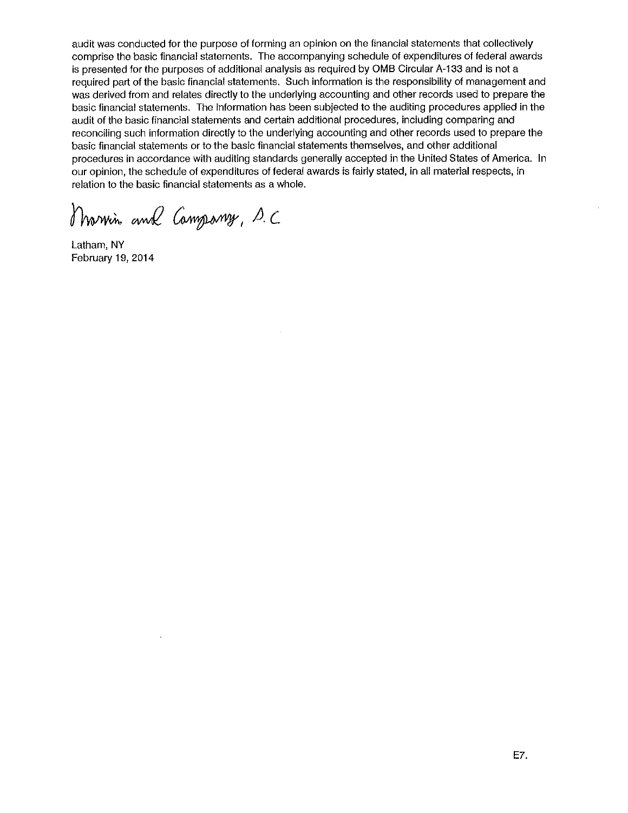audit was conducted for the purpose of forming an opinion on the financial statements that collectively comprise the basic financial statements. The accompanying schedule of expenditures of federal awards is presented for the purposes of additional analysis as required by OMB Circular A-133 and is not a required part of the basic financial statements. Such information is the responsibility of management and was derived from and relates directly to the underlying accounting and other records used to prepare the basic financial statements. The information has been subjected to the auditing procedures applied in the audit of the basic financial statements and certain additional procedures, including comparing and reconciling such information directly to the underlying accounting and other records used to prepare the basic financial statements or to the basic financial statements themselves, and other additional procedures in accordance with auditing standards generally accepted in the United States of America. In our opinion, the schedule of expenditures of federal awards is fairly stated, in all material respects, in relation to the basic financial statements as a whole.

Marvin and Campany, S.C.

Latham, NY February 19, 2014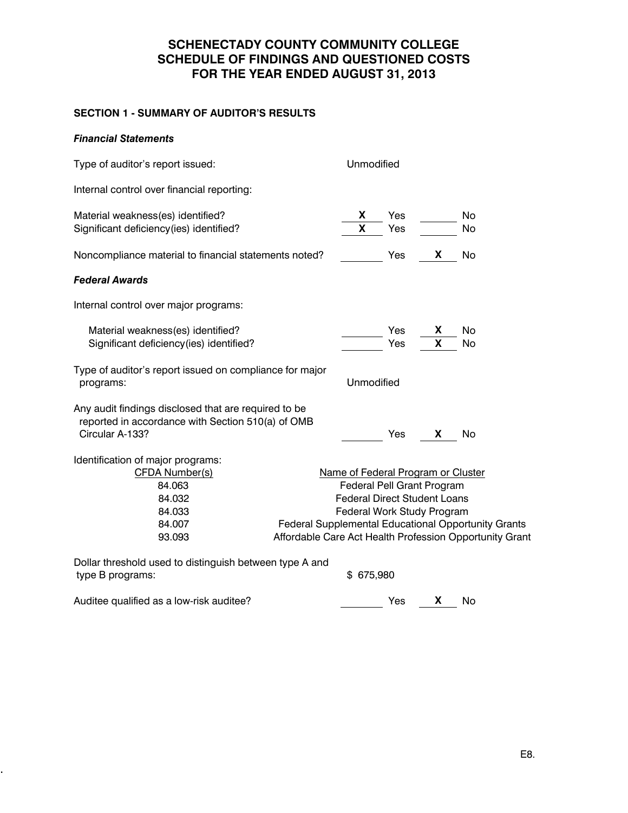## **SECTION 1 - SUMMARY OF AUDITOR'S RESULTS**

## *Financial Statements*

.

| Type of auditor's report issued:                                                                          | Unmodified                          |     |    |                                                         |
|-----------------------------------------------------------------------------------------------------------|-------------------------------------|-----|----|---------------------------------------------------------|
| Internal control over financial reporting:                                                                |                                     |     |    |                                                         |
| Material weakness(es) identified?                                                                         | X                                   | Yes |    | No                                                      |
| Significant deficiency(ies) identified?                                                                   | X                                   | Yes |    | No                                                      |
| Noncompliance material to financial statements noted?                                                     |                                     | Yes | X  | No                                                      |
| <b>Federal Awards</b>                                                                                     |                                     |     |    |                                                         |
| Internal control over major programs:                                                                     |                                     |     |    |                                                         |
| Material weakness(es) identified?                                                                         |                                     | Yes | Χ  | No                                                      |
| Significant deficiency(ies) identified?                                                                   |                                     | Yes | X  | No                                                      |
| Type of auditor's report issued on compliance for major<br>programs:                                      | Unmodified                          |     |    |                                                         |
| Any audit findings disclosed that are required to be<br>reported in accordance with Section 510(a) of OMB |                                     |     |    |                                                         |
| Circular A-133?                                                                                           |                                     | Yes | X. | No                                                      |
| Identification of major programs:                                                                         |                                     |     |    |                                                         |
| <b>CFDA Number(s)</b>                                                                                     | Name of Federal Program or Cluster  |     |    |                                                         |
| 84.063                                                                                                    | Federal Pell Grant Program          |     |    |                                                         |
| 84.032                                                                                                    | <b>Federal Direct Student Loans</b> |     |    |                                                         |
| 84.033                                                                                                    | Federal Work Study Program          |     |    |                                                         |
| 84.007                                                                                                    |                                     |     |    | Federal Supplemental Educational Opportunity Grants     |
| 93.093                                                                                                    |                                     |     |    | Affordable Care Act Health Profession Opportunity Grant |
| Dollar threshold used to distinguish between type A and                                                   |                                     |     |    |                                                         |
| type B programs:                                                                                          | \$ 675,980                          |     |    |                                                         |
| Auditee qualified as a low-risk auditee?                                                                  |                                     | Yes | X. | No                                                      |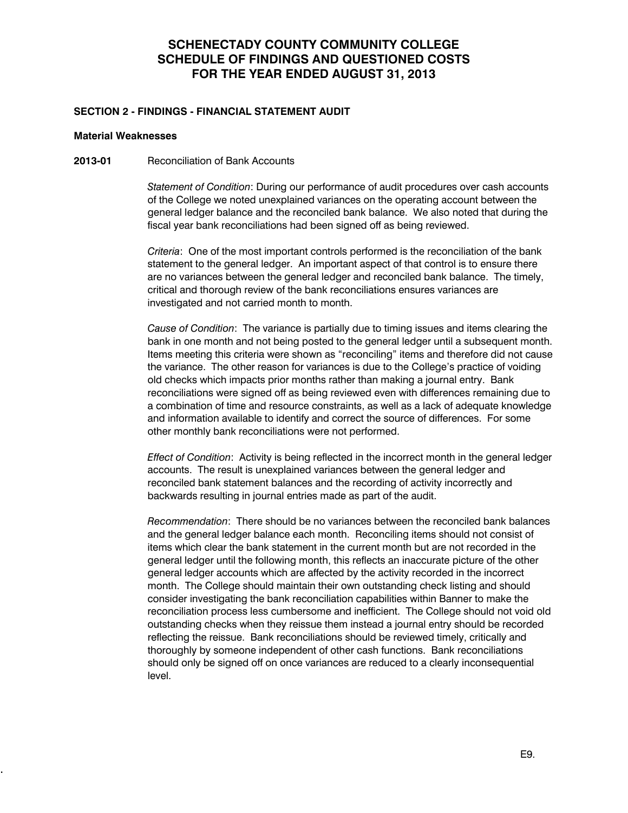#### **SECTION 2 - FINDINGS - FINANCIAL STATEMENT AUDIT**

#### **Material Weaknesses**

.

#### **2013-01** Reconciliation of Bank Accounts

*Statement of Condition*: During our performance of audit procedures over cash accounts of the College we noted unexplained variances on the operating account between the general ledger balance and the reconciled bank balance. We also noted that during the fiscal year bank reconciliations had been signed off as being reviewed.

*Criteria*: One of the most important controls performed is the reconciliation of the bank statement to the general ledger. An important aspect of that control is to ensure there are no variances between the general ledger and reconciled bank balance. The timely, critical and thorough review of the bank reconciliations ensures variances are investigated and not carried month to month.

*Cause of Condition*: The variance is partially due to timing issues and items clearing the bank in one month and not being posted to the general ledger until a subsequent month. Items meeting this criteria were shown as "reconciling" items and therefore did not cause the variance. The other reason for variances is due to the College's practice of voiding old checks which impacts prior months rather than making a journal entry. Bank reconciliations were signed off as being reviewed even with differences remaining due to a combination of time and resource constraints, as well as a lack of adequate knowledge and information available to identify and correct the source of differences. For some other monthly bank reconciliations were not performed.

*Effect of Condition*: Activity is being reflected in the incorrect month in the general ledger accounts. The result is unexplained variances between the general ledger and reconciled bank statement balances and the recording of activity incorrectly and backwards resulting in journal entries made as part of the audit.

*Recommendation*: There should be no variances between the reconciled bank balances and the general ledger balance each month. Reconciling items should not consist of items which clear the bank statement in the current month but are not recorded in the general ledger until the following month, this reflects an inaccurate picture of the other general ledger accounts which are affected by the activity recorded in the incorrect month. The College should maintain their own outstanding check listing and should consider investigating the bank reconciliation capabilities within Banner to make the reconciliation process less cumbersome and inefficient. The College should not void old outstanding checks when they reissue them instead a journal entry should be recorded reflecting the reissue. Bank reconciliations should be reviewed timely, critically and thoroughly by someone independent of other cash functions. Bank reconciliations should only be signed off on once variances are reduced to a clearly inconsequential level.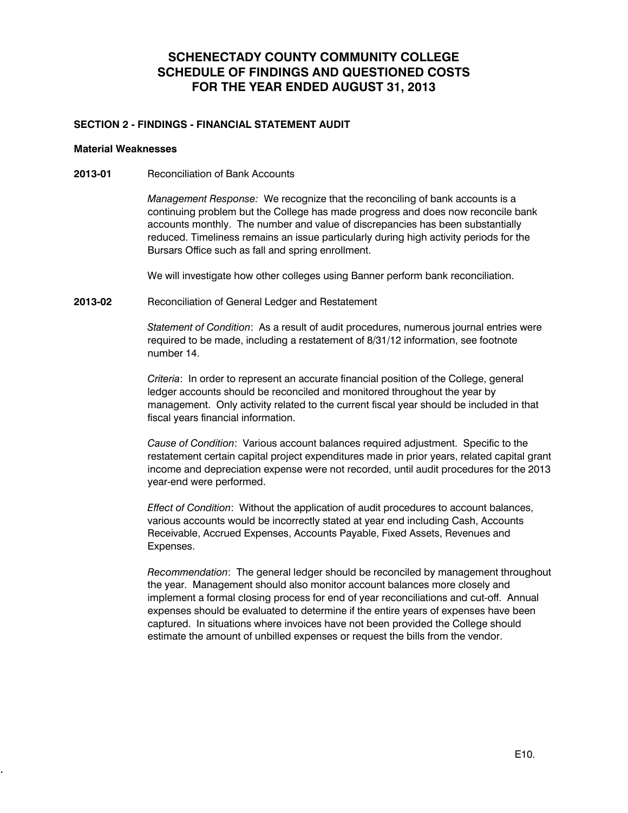## **SECTION 2 - FINDINGS - FINANCIAL STATEMENT AUDIT**

#### **Material Weaknesses**

.

**2013-01** Reconciliation of Bank Accounts

*Management Response:* We recognize that the reconciling of bank accounts is a continuing problem but the College has made progress and does now reconcile bank accounts monthly. The number and value of discrepancies has been substantially reduced. Timeliness remains an issue particularly during high activity periods for the Bursars Office such as fall and spring enrollment.

We will investigate how other colleges using Banner perform bank reconciliation.

**2013-02** Reconciliation of General Ledger and Restatement

*Statement of Condition*: As a result of audit procedures, numerous journal entries were required to be made, including a restatement of 8/31/12 information, see footnote number 14.

*Criteria*: In order to represent an accurate financial position of the College, general ledger accounts should be reconciled and monitored throughout the year by management. Only activity related to the current fiscal year should be included in that fiscal years financial information.

*Cause of Condition*: Various account balances required adjustment. Specific to the restatement certain capital project expenditures made in prior years, related capital grant income and depreciation expense were not recorded, until audit procedures for the 2013 year-end were performed.

*Effect of Condition*: Without the application of audit procedures to account balances, various accounts would be incorrectly stated at year end including Cash, Accounts Receivable, Accrued Expenses, Accounts Payable, Fixed Assets, Revenues and Expenses.

*Recommendation*: The general ledger should be reconciled by management throughout the year. Management should also monitor account balances more closely and implement a formal closing process for end of year reconciliations and cut-off. Annual expenses should be evaluated to determine if the entire years of expenses have been captured. In situations where invoices have not been provided the College should estimate the amount of unbilled expenses or request the bills from the vendor.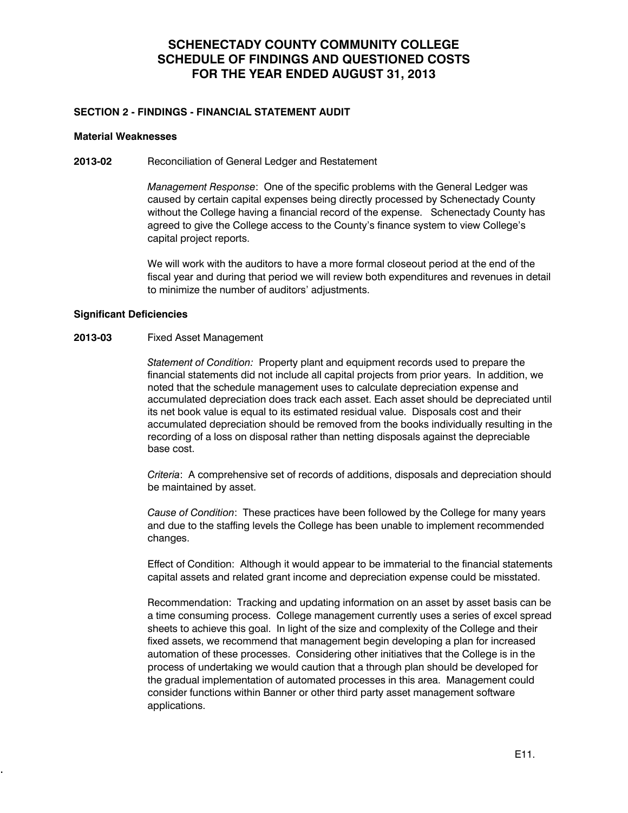#### **SECTION 2 - FINDINGS - FINANCIAL STATEMENT AUDIT**

#### **Material Weaknesses**

#### **2013-02** Reconciliation of General Ledger and Restatement

*Management Response*: One of the specific problems with the General Ledger was caused by certain capital expenses being directly processed by Schenectady County without the College having a financial record of the expense. Schenectady County has agreed to give the College access to the County's finance system to view College's capital project reports.

We will work with the auditors to have a more formal closeout period at the end of the fiscal year and during that period we will review both expenditures and revenues in detail to minimize the number of auditors' adjustments.

#### **Significant Deficiencies**

.

#### **2013-03** Fixed Asset Management

*Statement of Condition:* Property plant and equipment records used to prepare the financial statements did not include all capital projects from prior years. In addition, we noted that the schedule management uses to calculate depreciation expense and accumulated depreciation does track each asset. Each asset should be depreciated until its net book value is equal to its estimated residual value. Disposals cost and their accumulated depreciation should be removed from the books individually resulting in the recording of a loss on disposal rather than netting disposals against the depreciable base cost.

*Criteria*: A comprehensive set of records of additions, disposals and depreciation should be maintained by asset.

*Cause of Condition*: These practices have been followed by the College for many years and due to the staffing levels the College has been unable to implement recommended changes.

Effect of Condition: Although it would appear to be immaterial to the financial statements capital assets and related grant income and depreciation expense could be misstated.

Recommendation: Tracking and updating information on an asset by asset basis can be a time consuming process. College management currently uses a series of excel spread sheets to achieve this goal. In light of the size and complexity of the College and their fixed assets, we recommend that management begin developing a plan for increased automation of these processes. Considering other initiatives that the College is in the process of undertaking we would caution that a through plan should be developed for the gradual implementation of automated processes in this area. Management could consider functions within Banner or other third party asset management software applications.